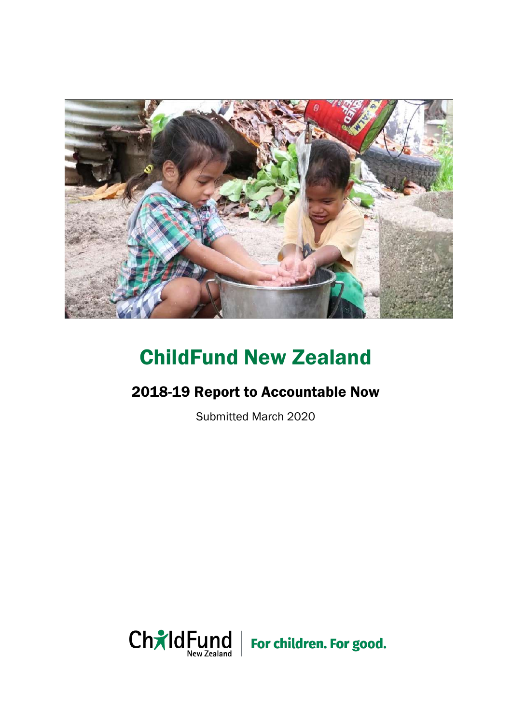

# ChildFund New Zealand

## 2018-19 Report to Accountable Now

Submitted March 2020

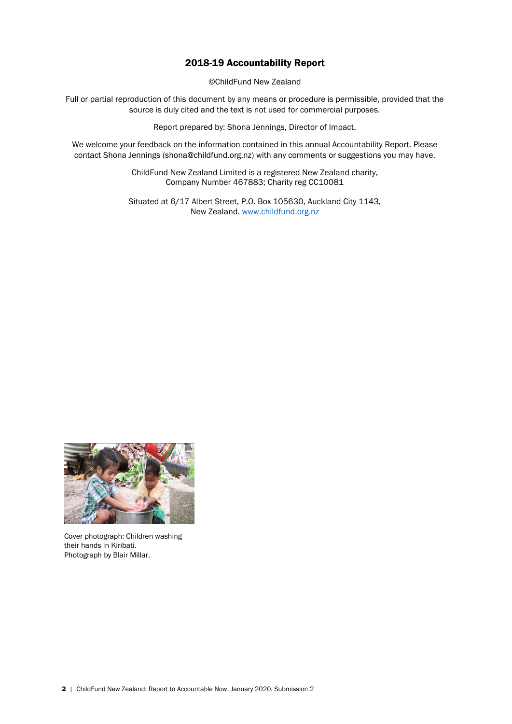### 2018-19 Accountability Report

©ChildFund New Zealand

Full or partial reproduction of this document by any means or procedure is permissible, provided that the source is duly cited and the text is not used for commercial purposes.

Report prepared by: Shona Jennings, Director of Impact.

We welcome your feedback on the information contained in this annual Accountability Report. Please contact Shona Jennings (shona@childfund.org.nz) with any comments or suggestions you may have.

> ChildFund New Zealand Limited is a registered New Zealand charity, Company Number 467883; Charity reg CC10081

Situated at 6/17 Albert Street, P.O. Box 105630, Auckland City 1143, New Zealand. [www.childfund.org.nz](http://www.childfund.org.nz/)



Cover photograph: Children washing their hands in Kiribati. Photograph by Blair Millar.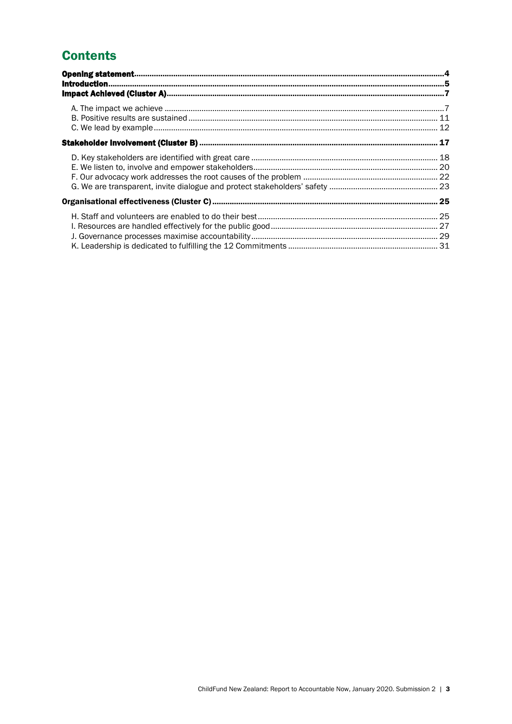## **Contents**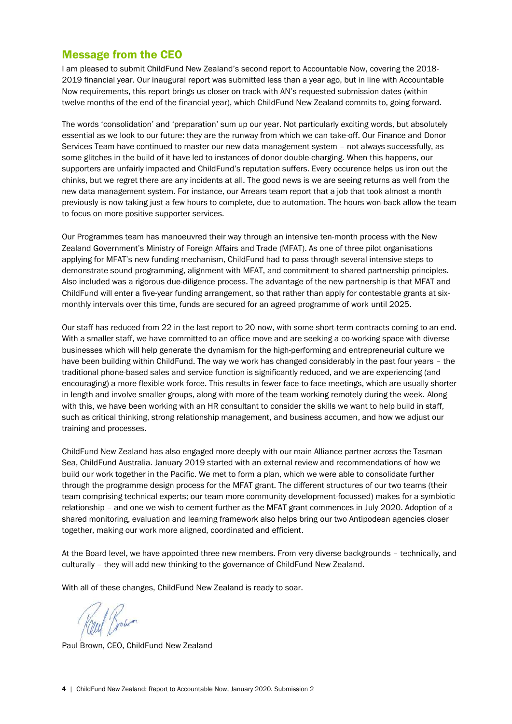### Message from the CEO

I am pleased to submit ChildFund New Zealand's second report to Accountable Now, covering the 2018- 2019 financial year. Our inaugural report was submitted less than a year ago, but in line with Accountable Now requirements, this report brings us closer on track with AN's requested submission dates (within twelve months of the end of the financial year), which ChildFund New Zealand commits to, going forward.

The words 'consolidation' and 'preparation' sum up our year. Not particularly exciting words, but absolutely essential as we look to our future: they are the runway from which we can take-off. Our Finance and Donor Services Team have continued to master our new data management system – not always successfully, as some glitches in the build of it have led to instances of donor double-charging. When this happens, our supporters are unfairly impacted and ChildFund's reputation suffers. Every occurence helps us iron out the chinks, but we regret there are any incidents at all. The good news is we are seeing returns as well from the new data management system. For instance, our Arrears team report that a job that took almost a month previously is now taking just a few hours to complete, due to automation. The hours won-back allow the team to focus on more positive supporter services.

Our Programmes team has manoeuvred their way through an intensive ten-month process with the New Zealand Government's Ministry of Foreign Affairs and Trade (MFAT). As one of three pilot organisations applying for MFAT's new funding mechanism, ChildFund had to pass through several intensive steps to demonstrate sound programming, alignment with MFAT, and commitment to shared partnership principles. Also included was a rigorous due-diligence process. The advantage of the new partnership is that MFAT and ChildFund will enter a five-year funding arrangement, so that rather than apply for contestable grants at sixmonthly intervals over this time, funds are secured for an agreed programme of work until 2025.

Our staff has reduced from 22 in the last report to 20 now, with some short-term contracts coming to an end. With a smaller staff, we have committed to an office move and are seeking a co-working space with diverse businesses which will help generate the dynamism for the high-performing and entrepreneurial culture we have been building within ChildFund. The way we work has changed considerably in the past four years – the traditional phone-based sales and service function is significantly reduced, and we are experiencing (and encouraging) a more flexible work force. This results in fewer face-to-face meetings, which are usually shorter in length and involve smaller groups, along with more of the team working remotely during the week. Along with this, we have been working with an HR consultant to consider the skills we want to help build in staff, such as critical thinking, strong relationship management, and business accumen, and how we adjust our training and processes.

ChildFund New Zealand has also engaged more deeply with our main Alliance partner across the Tasman Sea, ChildFund Australia. January 2019 started with an external review and recommendations of how we build our work together in the Pacific. We met to form a plan, which we were able to consolidate further through the programme design process for the MFAT grant. The different structures of our two teams (their team comprising technical experts; our team more community development-focussed) makes for a symbiotic relationship – and one we wish to cement further as the MFAT grant commences in July 2020. Adoption of a shared monitoring, evaluation and learning framework also helps bring our two Antipodean agencies closer together, making our work more aligned, coordinated and efficient.

At the Board level, we have appointed three new members. From very diverse backgrounds – technically, and culturally – they will add new thinking to the governance of ChildFund New Zealand.

With all of these changes, ChildFund New Zealand is ready to soar.

<span id="page-3-0"></span>Coul Bown

Paul Brown, CEO, ChildFund New Zealand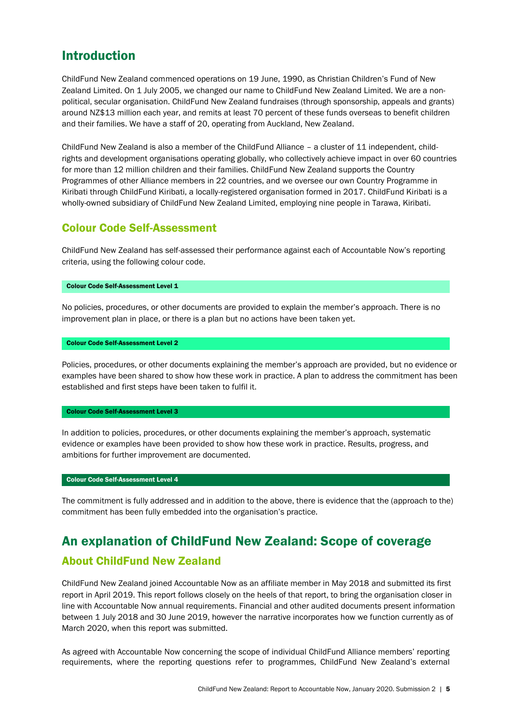## Introduction

ChildFund New Zealand commenced operations on 19 June, 1990, as Christian Children's Fund of New Zealand Limited. On 1 July 2005, we changed our name to ChildFund New Zealand Limited. We are a nonpolitical, secular organisation. ChildFund New Zealand fundraises (through sponsorship, appeals and grants) around NZ\$13 million each year, and remits at least 70 percent of these funds overseas to benefit children and their families. We have a staff of 20, operating from Auckland, New Zealand.

ChildFund New Zealand is also a member of the ChildFund Alliance – a cluster of 11 independent, childrights and development organisations operating globally, who collectively achieve impact in over 60 countries for more than 12 million children and their families. ChildFund New Zealand supports the Country Programmes of other Alliance members in 22 countries, and we oversee our own Country Programme in Kiribati through ChildFund Kiribati, a locally-registered organisation formed in 2017. ChildFund Kiribati is a wholly-owned subsidiary of ChildFund New Zealand Limited, employing nine people in Tarawa, Kiribati.

### Colour Code Self-Assessment

ChildFund New Zealand has self-assessed their performance against each of Accountable Now's reporting criteria, using the following colour code.

#### Colour Code Self-Assessment Level 1

No policies, procedures, or other documents are provided to explain the member's approach. There is no improvement plan in place, or there is a plan but no actions have been taken yet.

#### Colour Code Self-Assessment Level 2

Policies, procedures, or other documents explaining the member's approach are provided, but no evidence or examples have been shared to show how these work in practice. A plan to address the commitment has been established and first steps have been taken to fulfil it.

#### Colour Code Self-Assessment Level 3

In addition to policies, procedures, or other documents explaining the member's approach, systematic evidence or examples have been provided to show how these work in practice. Results, progress, and ambitions for further improvement are documented.

#### Colour Code Self-Assessment Level 4

The commitment is fully addressed and in addition to the above, there is evidence that the (approach to the) commitment has been fully embedded into the organisation's practice.

## An explanation of ChildFund New Zealand: Scope of coverage

### About ChildFund New Zealand

ChildFund New Zealand joined Accountable Now as an affiliate member in May 2018 and submitted its first report in April 2019. This report follows closely on the heels of that report, to bring the organisation closer in line with Accountable Now annual requirements. Financial and other audited documents present information between 1 July 2018 and 30 June 2019, however the narrative incorporates how we function currently as of March 2020, when this report was submitted.

As agreed with Accountable Now concerning the scope of individual ChildFund Alliance members' reporting requirements, where the reporting questions refer to programmes, ChildFund New Zealand's external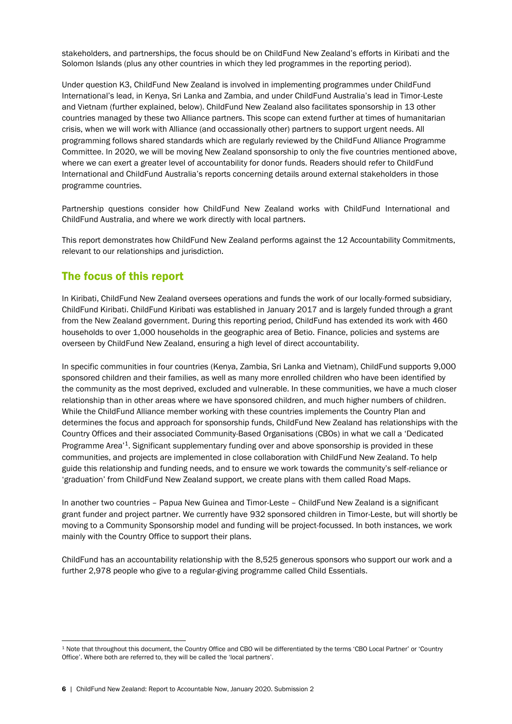stakeholders, and partnerships, the focus should be on ChildFund New Zealand's efforts in Kiribati and the Solomon Islands (plus any other countries in which they led programmes in the reporting period).

Under question K3, ChildFund New Zealand is involved in implementing programmes under ChildFund International's lead, in Kenya, Sri Lanka and Zambia, and under ChildFund Australia's lead in Timor-Leste and Vietnam (further explained, below). ChildFund New Zealand also facilitates sponsorship in 13 other countries managed by these two Alliance partners. This scope can extend further at times of humanitarian crisis, when we will work with Alliance (and occassionally other) partners to support urgent needs. All programming follows shared standards which are regularly reviewed by the ChildFund Alliance Programme Committee. In 2020, we will be moving New Zealand sponsorship to only the five countries mentioned above, where we can exert a greater level of accountability for donor funds. Readers should refer to ChildFund International and ChildFund Australia's reports concerning details around external stakeholders in those programme countries.

Partnership questions consider how ChildFund New Zealand works with ChildFund International and ChildFund Australia, and where we work directly with local partners.

This report demonstrates how ChildFund New Zealand performs against the 12 Accountability Commitments, relevant to our relationships and jurisdiction.

### The focus of this report

In Kiribati, ChildFund New Zealand oversees operations and funds the work of our locally-formed subsidiary, ChildFund Kiribati. ChildFund Kiribati was established in January 2017 and is largely funded through a grant from the New Zealand government. During this reporting period, ChildFund has extended its work with 460 households to over 1,000 households in the geographic area of Betio. Finance, policies and systems are overseen by ChildFund New Zealand, ensuring a high level of direct accountability.

In specific communities in four countries (Kenya, Zambia, Sri Lanka and Vietnam), ChildFund supports 9,000 sponsored children and their families, as well as many more enrolled children who have been identified by the community as the most deprived, excluded and vulnerable. In these communities, we have a much closer relationship than in other areas where we have sponsored children, and much higher numbers of children. While the ChildFund Alliance member working with these countries implements the Country Plan and determines the focus and approach for sponsorship funds, ChildFund New Zealand has relationships with the Country Offices and their associated Community-Based Organisations (CBOs) in what we call a 'Dedicated Programme Area<sup>'1</sup>. Significant supplementary funding over and above sponsorship is provided in these communities, and projects are implemented in close collaboration with ChildFund New Zealand. To help guide this relationship and funding needs, and to ensure we work towards the community's self-reliance or 'graduation' from ChildFund New Zealand support, we create plans with them called Road Maps.

In another two countries – Papua New Guinea and Timor-Leste – ChildFund New Zealand is a significant grant funder and project partner. We currently have 932 sponsored children in Timor-Leste, but will shortly be moving to a Community Sponsorship model and funding will be project-focussed. In both instances, we work mainly with the Country Office to support their plans.

<span id="page-5-0"></span>ChildFund has an accountability relationship with the 8,525 generous sponsors who support our work and a further 2,978 people who give to a regular-giving programme called Child Essentials.

**<sup>.</sup>** <sup>1</sup> Note that throughout this document, the Country Office and CBO will be differentiated by the terms 'CBO Local Partner' or 'Country Office'. Where both are referred to, they will be called the 'local partners'.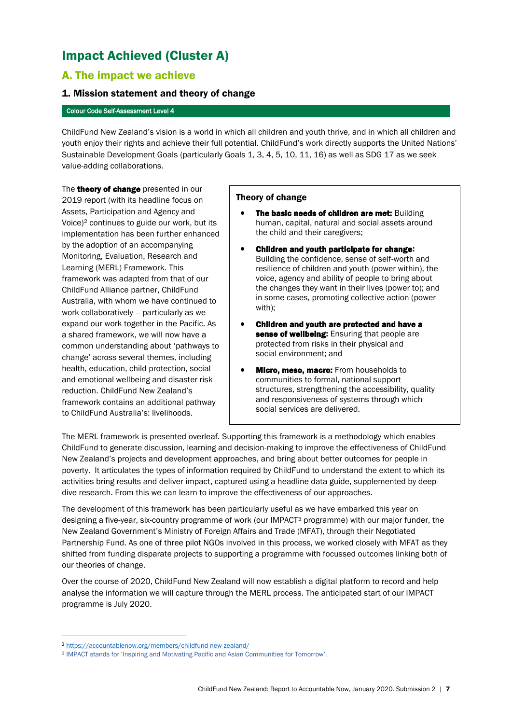## Impact Achieved (Cluster A)

### <span id="page-6-0"></span>A. The impact we achieve

### 1. Mission statement and theory of change

#### Colour Code Self-Assessment Level 4

ChildFund New Zealand's vision is a world in which all children and youth thrive, and in which all children and youth enjoy their rights and achieve their full potential. ChildFund's work directly supports the United Nations' Sustainable Development Goals (particularly Goals 1, 3, 4, 5, 10, 11, 16) as well as SDG 17 as we seek value-adding collaborations.

The **theory of change** presented in our 2019 report (with its headline focus on Assets, Participation and Agency and Voice)<sup>2</sup> continues to guide our work, but its implementation has been further enhanced by the adoption of an accompanying Monitoring, Evaluation, Research and Learning (MERL) Framework. This framework was adapted from that of our ChildFund Alliance partner, ChildFund Australia, with whom we have continued to work collaboratively – particularly as we expand our work together in the Pacific. As a shared framework, we will now have a common understanding about 'pathways to change' across several themes, including health, education, child protection, social and emotional wellbeing and disaster risk reduction. ChildFund New Zealand's framework contains an additional pathway to ChildFund Australia's: livelihoods.

#### Theory of change

- The basic needs of children are met: Building human, capital, natural and social assets around the child and their caregivers;
- Children and youth participate for change: Building the confidence, sense of self-worth and resilience of children and youth (power within), the voice, agency and ability of people to bring about the changes they want in their lives (power to); and in some cases, promoting collective action (power with);
- Children and youth are protected and have a sense of wellbeing: Ensuring that people are protected from risks in their physical and social environment; and
- **Micro, meso, macro:** From households to communities to formal, national support structures, strengthening the accessibility, quality and responsiveness of systems through which social services are delivered.

The MERL framework is presented overleaf. Supporting this framework is a methodology which enables ChildFund to generate discussion, learning and decision-making to improve the effectiveness of ChildFund New Zealand's projects and development approaches, and bring about better outcomes for people in poverty. It articulates the types of information required by ChildFund to understand the extent to which its activities bring results and deliver impact, captured using a headline data guide, supplemented by deepdive research. From this we can learn to improve the effectiveness of our approaches.

The development of this framework has been particularly useful as we have embarked this year on designing a five-year, six-country programme of work (our IMPACT<sup>3</sup> programme) with our major funder, the New Zealand Government's Ministry of Foreign Affairs and Trade (MFAT), through their Negotiated Partnership Fund. As one of three pilot NGOs involved in this process, we worked closely with MFAT as they shifted from funding disparate projects to supporting a programme with focussed outcomes linking both of our theories of change.

Over the course of 2020, ChildFund New Zealand will now establish a digital platform to record and help analyse the information we will capture through the MERL process. The anticipated start of our IMPACT programme is July 2020.

**.** 

<sup>2</sup> <https://accountablenow.org/members/childfund-new-zealand/>

<sup>3</sup> IMPACT stands for 'Inspiring and Motivating Pacific and Asian Communities for Tomorrow'.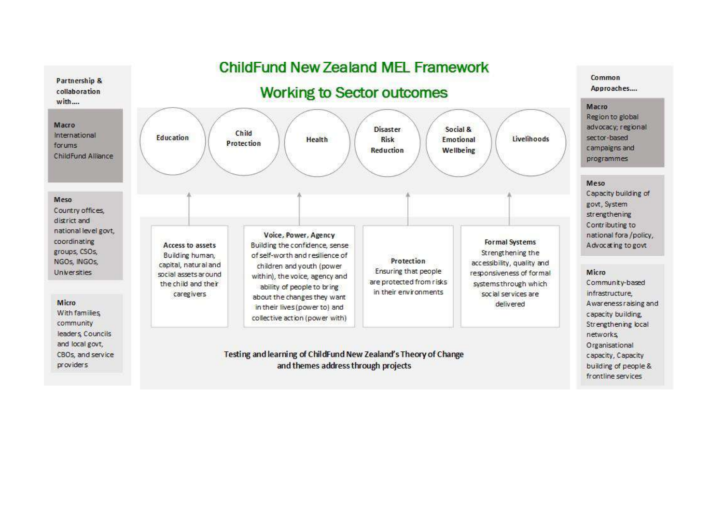## **ChildFund New Zealand MFI Framework**

Partnership & collaboration with....



### Common Approaches....

#### Macro

Region to global advocacy; regional sector-based campaigns and programmes

#### Meso

Capacity building of govt, System strengthening Contributing to national fora /policy, Advocating to govt

#### Micro

Community-based infrastructure. Awareness raising and capacity building. Strengthening local networks Organisational capacity, Capacity building of people & frontline services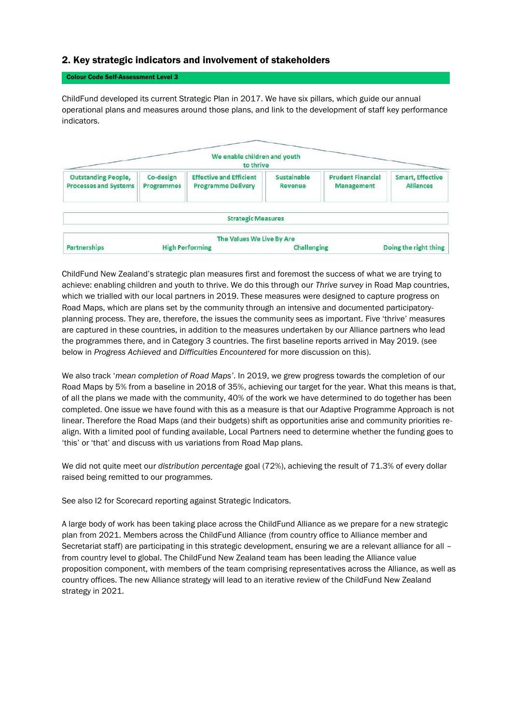### 2. Key strategic indicators and involvement of stakeholders

#### Colour Code Self-Assessment Level 3

ChildFund developed its current Strategic Plan in 2017. We have six pillars, which guide our annual operational plans and measures around those plans, and link to the development of staff key performance indicators.



ChildFund New Zealand's strategic plan measures first and foremost the success of what we are trying to achieve: enabling children and youth to thrive. We do this through our *Thrive survey* in Road Map countries, which we trialled with our local partners in 2019. These measures were designed to capture progress on Road Maps, which are plans set by the community through an intensive and documented participatoryplanning process. They are, therefore, the issues the community sees as important. Five 'thrive' measures are captured in these countries, in addition to the measures undertaken by our Alliance partners who lead the programmes there, and in Category 3 countries. The first baseline reports arrived in May 2019. (see below in *Progress Achieved* and *Difficulties Encountered* for more discussion on this).

We also track '*mean completion of Road Maps'*. In 2019, we grew progress towards the completion of our Road Maps by 5% from a baseline in 2018 of 35%, achieving our target for the year. What this means is that, of all the plans we made with the community, 40% of the work we have determined to do together has been completed. One issue we have found with this as a measure is that our Adaptive Programme Approach is not linear. Therefore the Road Maps (and their budgets) shift as opportunities arise and community priorities realign. With a limited pool of funding available, Local Partners need to determine whether the funding goes to 'this' or 'that' and discuss with us variations from Road Map plans.

We did not quite meet our *distribution percentage* goal (72%), achieving the result of 71.3% of every dollar raised being remitted to our programmes.

See also I2 for Scorecard reporting against Strategic Indicators.

A large body of work has been taking place across the ChildFund Alliance as we prepare for a new strategic plan from 2021. Members across the ChildFund Alliance (from country office to Alliance member and Secretariat staff) are participating in this strategic development, ensuring we are a relevant alliance for all – from country level to global. The ChildFund New Zealand team has been leading the Alliance value proposition component, with members of the team comprising representatives across the Alliance, as well as country offices. The new Alliance strategy will lead to an iterative review of the ChildFund New Zealand strategy in 2021.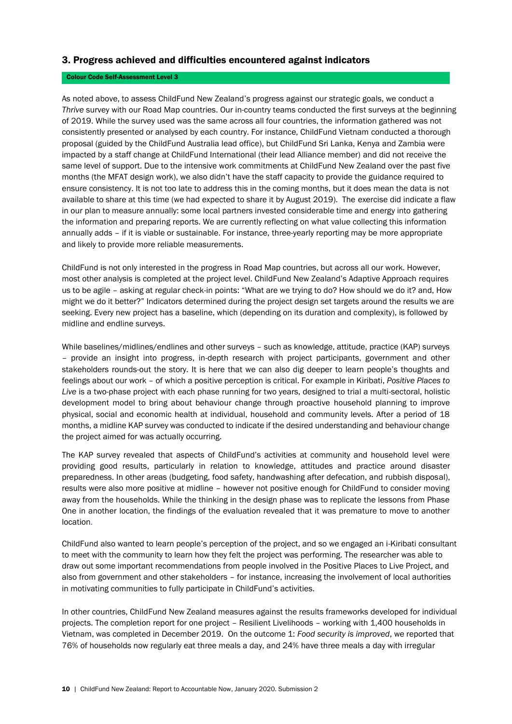#### 3. Progress achieved and difficulties encountered against indicators

#### Colour Code Self-Assessment Level 3

As noted above, to assess ChildFund New Zealand's progress against our strategic goals, we conduct a *Thrive* survey with our Road Map countries. Our in-country teams conducted the first surveys at the beginning of 2019. While the survey used was the same across all four countries, the information gathered was not consistently presented or analysed by each country. For instance, ChildFund Vietnam conducted a thorough proposal (guided by the ChildFund Australia lead office), but ChildFund Sri Lanka, Kenya and Zambia were impacted by a staff change at ChildFund International (their lead Alliance member) and did not receive the same level of support. Due to the intensive work commitments at ChildFund New Zealand over the past five months (the MFAT design work), we also didn't have the staff capacity to provide the guidance required to ensure consistency. It is not too late to address this in the coming months, but it does mean the data is not available to share at this time (we had expected to share it by August 2019). The exercise did indicate a flaw in our plan to measure annually: some local partners invested considerable time and energy into gathering the information and preparing reports. We are currently reflecting on what value collecting this information annually adds – if it is viable or sustainable. For instance, three-yearly reporting may be more appropriate and likely to provide more reliable measurements.

ChildFund is not only interested in the progress in Road Map countries, but across all our work. However, most other analysis is completed at the project level. ChildFund New Zealand's Adaptive Approach requires us to be agile – asking at regular check-in points: "What are we trying to do? How should we do it? and, How might we do it better?" Indicators determined during the project design set targets around the results we are seeking. Every new project has a baseline, which (depending on its duration and complexity), is followed by midline and endline surveys.

While baselines/midlines/endlines and other surveys - such as knowledge, attitude, practice (KAP) surveys – provide an insight into progress, in-depth research with project participants, government and other stakeholders rounds-out the story. It is here that we can also dig deeper to learn people's thoughts and feelings about our work – of which a positive perception is critical. For example in Kiribati, *Positive Places to Live* is a two-phase project with each phase running for two years, designed to trial a multi-sectoral, holistic development model to bring about behaviour change through proactive household planning to improve physical, social and economic health at individual, household and community levels. After a period of 18 months, a midline KAP survey was conducted to indicate if the desired understanding and behaviour change the project aimed for was actually occurring.

The KAP survey revealed that aspects of ChildFund's activities at community and household level were providing good results, particularly in relation to knowledge, attitudes and practice around disaster preparedness. In other areas (budgeting, food safety, handwashing after defecation, and rubbish disposal), results were also more positive at midline – however not positive enough for ChildFund to consider moving away from the households. While the thinking in the design phase was to replicate the lessons from Phase One in another location, the findings of the evaluation revealed that it was premature to move to another location.

ChildFund also wanted to learn people's perception of the project, and so we engaged an i-Kiribati consultant to meet with the community to learn how they felt the project was performing. The researcher was able to draw out some important recommendations from people involved in the Positive Places to Live Project, and also from government and other stakeholders – for instance, increasing the involvement of local authorities in motivating communities to fully participate in ChildFund's activities.

In other countries, ChildFund New Zealand measures against the results frameworks developed for individual projects. The completion report for one project – Resilient Livelihoods – working with 1,400 households in Vietnam, was completed in December 2019. On the outcome 1: *Food security is improved*, we reported that 76% of households now regularly eat three meals a day, and 24% have three meals a day with irregular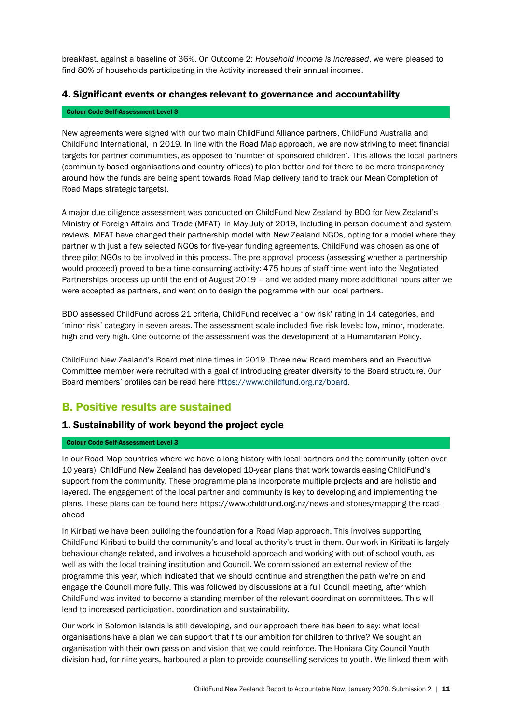breakfast, against a baseline of 36%. On Outcome 2: *Household income is increased*, we were pleased to find 80% of households participating in the Activity increased their annual incomes.

#### 4. Significant events or changes relevant to governance and accountability

#### Colour Code Self-Assessment Level 3

New agreements were signed with our two main ChildFund Alliance partners, ChildFund Australia and ChildFund International, in 2019. In line with the Road Map approach, we are now striving to meet financial targets for partner communities, as opposed to 'number of sponsored children'. This allows the local partners (community-based organisations and country offices) to plan better and for there to be more transparency around how the funds are being spent towards Road Map delivery (and to track our Mean Completion of Road Maps strategic targets).

A major due diligence assessment was conducted on ChildFund New Zealand by BDO for New Zealand's Ministry of Foreign Affairs and Trade (MFAT) in May-July of 2019, including in-person document and system reviews. MFAT have changed their partnership model with New Zealand NGOs, opting for a model where they partner with just a few selected NGOs for five-year funding agreements. ChildFund was chosen as one of three pilot NGOs to be involved in this process. The pre-approval process (assessing whether a partnership would proceed) proved to be a time-consuming activity: 475 hours of staff time went into the Negotiated Partnerships process up until the end of August 2019 – and we added many more additional hours after we were accepted as partners, and went on to design the pogramme with our local partners.

BDO assessed ChildFund across 21 criteria, ChildFund received a 'low risk' rating in 14 categories, and 'minor risk' category in seven areas. The assessment scale included five risk levels: low, minor, moderate, high and very high. One outcome of the assessment was the development of a Humanitarian Policy.

ChildFund New Zealand's Board met nine times in 2019. Three new Board members and an Executive Committee member were recruited with a goal of introducing greater diversity to the Board structure. Our Board members' profiles can be read here [https://www.childfund.org.nz/board.](https://www.childfund.org.nz/board)

### <span id="page-10-0"></span>B. Positive results are sustained

#### 1. Sustainability of work beyond the project cycle

#### Colour Code Self-Assessment Level 3

In our Road Map countries where we have a long history with local partners and the community (often over 10 years), ChildFund New Zealand has developed 10-year plans that work towards easing ChildFund's support from the community. These programme plans incorporate multiple projects and are holistic and layered. The engagement of the local partner and community is key to developing and implementing the plans. These plans can be found her[e https://www.childfund.org.nz/news-and-stories/mapping-the-road](https://www.childfund.org.nz/news-and-stories/mapping-the-road-ahead)[ahead](https://www.childfund.org.nz/news-and-stories/mapping-the-road-ahead)

In Kiribati we have been building the foundation for a Road Map approach. This involves supporting ChildFund Kiribati to build the community's and local authority's trust in them. Our work in Kiribati is largely behaviour-change related, and involves a household approach and working with out-of-school youth, as well as with the local training institution and Council. We commissioned an external review of the programme this year, which indicated that we should continue and strengthen the path we're on and engage the Council more fully. This was followed by discussions at a full Council meeting, after which ChildFund was invited to become a standing member of the relevant coordination committees. This will lead to increased participation, coordination and sustainability.

Our work in Solomon Islands is still developing, and our approach there has been to say: what local organisations have a plan we can support that fits our ambition for children to thrive? We sought an organisation with their own passion and vision that we could reinforce. The Honiara City Council Youth division had, for nine years, harboured a plan to provide counselling services to youth. We linked them with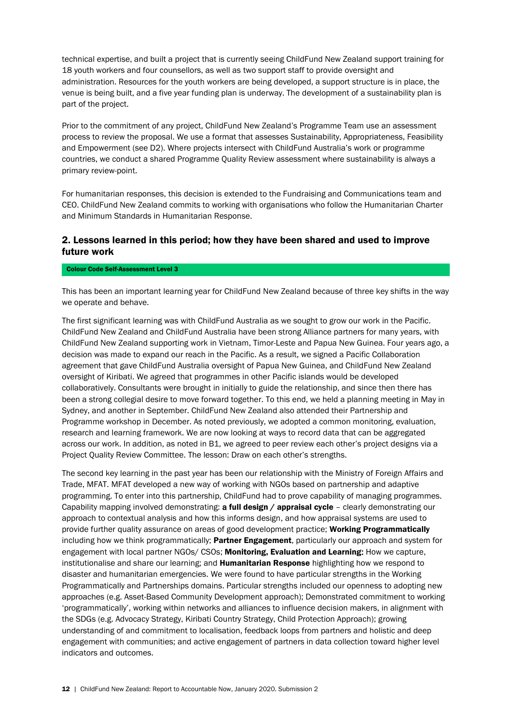technical expertise, and built a project that is currently seeing ChildFund New Zealand support training for 18 youth workers and four counsellors, as well as two support staff to provide oversight and administration. Resources for the youth workers are being developed, a support structure is in place, the venue is being built, and a five year funding plan is underway. The development of a sustainability plan is part of the project.

Prior to the commitment of any project, ChildFund New Zealand's Programme Team use an assessment process to review the proposal. We use a format that assesses Sustainability, Appropriateness, Feasibility and Empowerment (see D2). Where projects intersect with ChildFund Australia's work or programme countries, we conduct a shared Programme Quality Review assessment where sustainability is always a primary review-point.

For humanitarian responses, this decision is extended to the Fundraising and Communications team and CEO. ChildFund New Zealand commits to working with organisations who follow the Humanitarian Charter and Minimum Standards in Humanitarian Response.

### 2. Lessons learned in this period; how they have been shared and used to improve future work

#### Colour Code Self-Assessment Level 3

<span id="page-11-0"></span>This has been an important learning year for ChildFund New Zealand because of three key shifts in the way we operate and behave.

The first significant learning was with ChildFund Australia as we sought to grow our work in the Pacific. ChildFund New Zealand and ChildFund Australia have been strong Alliance partners for many years, with ChildFund New Zealand supporting work in Vietnam, Timor-Leste and Papua New Guinea. Four years ago, a decision was made to expand our reach in the Pacific. As a result, we signed a Pacific Collaboration agreement that gave ChildFund Australia oversight of Papua New Guinea, and ChildFund New Zealand oversight of Kiribati. We agreed that programmes in other Pacific islands would be developed collaboratively. Consultants were brought in initially to guide the relationship, and since then there has been a strong collegial desire to move forward together. To this end, we held a planning meeting in May in Sydney, and another in September. ChildFund New Zealand also attended their Partnership and Programme workshop in December. As noted previously, we adopted a common monitoring, evaluation, research and learning framework. We are now looking at ways to record data that can be aggregated across our work. In addition, as noted in B1, we agreed to peer review each other's project designs via a Project Quality Review Committee. The lesson: Draw on each other's strengths.

The second key learning in the past year has been our relationship with the Ministry of Foreign Affairs and Trade, MFAT. MFAT developed a new way of working with NGOs based on partnership and adaptive programming. To enter into this partnership, ChildFund had to prove capability of managing programmes. Capability mapping involved demonstrating: **a full design / appraisal cycle** – clearly demonstrating our approach to contextual analysis and how this informs design, and how appraisal systems are used to provide further quality assurance on areas of good development practice; Working Programmatically including how we think programmatically; Partner Engagement, particularly our approach and system for engagement with local partner NGOs/ CSOs: Monitoring, Evaluation and Learning: How we capture, institutionalise and share our learning; and **Humanitarian Response** highlighting how we respond to disaster and humanitarian emergencies. We were found to have particular strengths in the Working Programmatically and Partnerships domains. Particular strengths included our openness to adopting new approaches (e.g. Asset-Based Community Development approach); Demonstrated commitment to working 'programmatically', working within networks and alliances to influence decision makers, in alignment with the SDGs (e.g. Advocacy Strategy, Kiribati Country Strategy, Child Protection Approach); growing understanding of and commitment to localisation, feedback loops from partners and holistic and deep engagement with communities; and active engagement of partners in data collection toward higher level indicators and outcomes.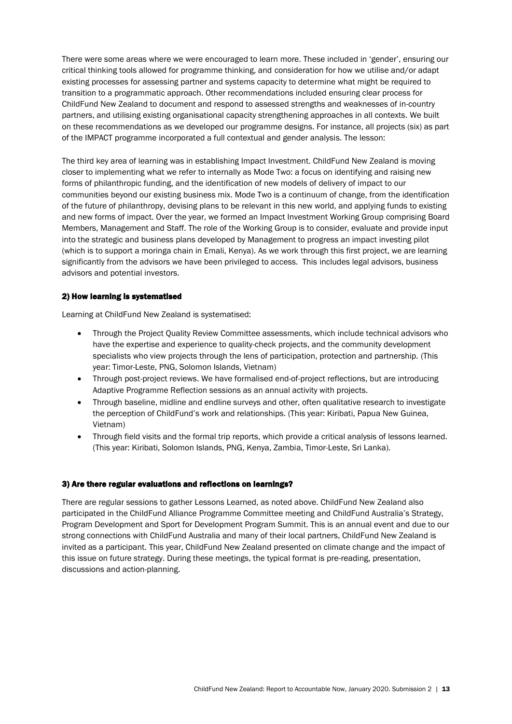There were some areas where we were encouraged to learn more. These included in 'gender', ensuring our critical thinking tools allowed for programme thinking, and consideration for how we utilise and/or adapt existing processes for assessing partner and systems capacity to determine what might be required to transition to a programmatic approach. Other recommendations included ensuring clear process for ChildFund New Zealand to document and respond to assessed strengths and weaknesses of in-country partners, and utilising existing organisational capacity strengthening approaches in all contexts. We built on these recommendations as we developed our programme designs. For instance, all projects (six) as part of the IMPACT programme incorporated a full contextual and gender analysis. The lesson:

The third key area of learning was in establishing Impact Investment. ChildFund New Zealand is moving closer to implementing what we refer to internally as Mode Two: a focus on identifying and raising new forms of philanthropic funding, and the identification of new models of delivery of impact to our communities beyond our existing business mix. Mode Two is a continuum of change, from the identification of the future of philanthropy, devising plans to be relevant in this new world, and applying funds to existing and new forms of impact. Over the year, we formed an Impact Investment Working Group comprising Board Members, Management and Staff. The role of the Working Group is to consider, evaluate and provide input into the strategic and business plans developed by Management to progress an impact investing pilot (which is to support a moringa chain in Emali, Kenya). As we work through this first project, we are learning significantly from the advisors we have been privileged to access. This includes legal advisors, business advisors and potential investors.

#### 2) How learning is systematised

Learning at ChildFund New Zealand is systematised:

- Through the Project Quality Review Committee assessments, which include technical advisors who have the expertise and experience to quality-check projects, and the community development specialists who view projects through the lens of participation, protection and partnership. (This year: Timor-Leste, PNG, Solomon Islands, Vietnam)
- Through post-project reviews. We have formalised end-of-project reflections, but are introducing Adaptive Programme Reflection sessions as an annual activity with projects.
- Through baseline, midline and endline surveys and other, often qualitative research to investigate the perception of ChildFund's work and relationships. (This year: Kiribati, Papua New Guinea, Vietnam)
- Through field visits and the formal trip reports, which provide a critical analysis of lessons learned. (This year: Kiribati, Solomon Islands, PNG, Kenya, Zambia, Timor-Leste, Sri Lanka).

#### 3) Are there regular evaluations and reflections on learnings?

There are regular sessions to gather Lessons Learned, as noted above. ChildFund New Zealand also participated in the ChildFund Alliance Programme Committee meeting and ChildFund Australia's Strategy, Program Development and Sport for Development Program Summit. This is an annual event and due to our strong connections with ChildFund Australia and many of their local partners, ChildFund New Zealand is invited as a participant. This year, ChildFund New Zealand presented on climate change and the impact of this issue on future strategy. During these meetings, the typical format is pre-reading, presentation, discussions and action-planning.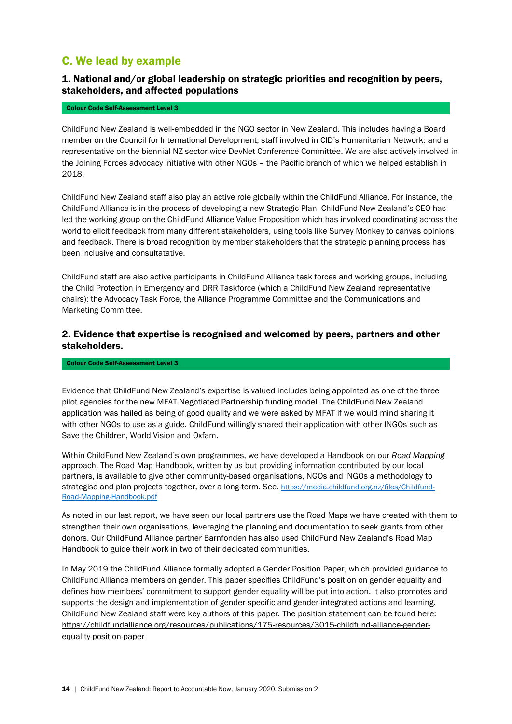### C. We lead by example

### 1. National and/or global leadership on strategic priorities and recognition by peers, stakeholders, and affected populations

#### Colour Code Self-Assessment Level 3

ChildFund New Zealand is well-embedded in the NGO sector in New Zealand. This includes having a Board member on the Council for International Development; staff involved in CID's Humanitarian Network; and a representative on the biennial NZ sector-wide DevNet Conference Committee. We are also actively involved in the Joining Forces advocacy initiative with other NGOs – the Pacific branch of which we helped establish in 2018.

ChildFund New Zealand staff also play an active role globally within the ChildFund Alliance. For instance, the ChildFund Alliance is in the process of developing a new Strategic Plan. ChildFund New Zealand's CEO has led the working group on the ChildFund Alliance Value Proposition which has involved coordinating across the world to elicit feedback from many different stakeholders, using tools like Survey Monkey to canvas opinions and feedback. There is broad recognition by member stakeholders that the strategic planning process has been inclusive and consultatative.

ChildFund staff are also active participants in ChildFund Alliance task forces and working groups, including the Child Protection in Emergency and DRR Taskforce (which a ChildFund New Zealand representative chairs); the Advocacy Task Force, the Alliance Programme Committee and the Communications and Marketing Committee.

### 2. Evidence that expertise is recognised and welcomed by peers, partners and other stakeholders.

#### Colour Code Self-Assessment Level 3

Evidence that ChildFund New Zealand's expertise is valued includes being appointed as one of the three pilot agencies for the new MFAT Negotiated Partnership funding model. The ChildFund New Zealand application was hailed as being of good quality and we were asked by MFAT if we would mind sharing it with other NGOs to use as a guide. ChildFund willingly shared their application with other INGOs such as Save the Children, World Vision and Oxfam.

Within ChildFund New Zealand's own programmes, we have developed a Handbook on our *Road Mapping* approach. The Road Map Handbook, written by us but providing information contributed by our local partners, is available to give other community-based organisations, NGOs and iNGOs a methodology to strategise and plan projects together, over a long-term. See. [https://media.childfund.org.nz/files/Childfund-](https://media.childfund.org.nz/files/Childfund-Road-Mapping-Handbook.pdf)[Road-Mapping-Handbook.pdf](https://media.childfund.org.nz/files/Childfund-Road-Mapping-Handbook.pdf)

As noted in our last report, we have seen our local partners use the Road Maps we have created with them to strengthen their own organisations, leveraging the planning and documentation to seek grants from other donors. Our ChildFund Alliance partner Barnfonden has also used ChildFund New Zealand's Road Map Handbook to guide their work in two of their dedicated communities.

In May 2019 the ChildFund Alliance formally adopted a Gender Position Paper, which provided guidance to ChildFund Alliance members on gender. This paper specifies ChildFund's position on gender equality and defines how members' commitment to support gender equality will be put into action. It also promotes and supports the design and implementation of gender-specific and gender-integrated actions and learning. ChildFund New Zealand staff were key authors of this paper. The position statement can be found here: [https://childfundalliance.org/resources/publications/175-resources/3015-childfund-alliance-gender](https://childfundalliance.org/resources/publications/175-resources/3015-childfund-alliance-gender-equality-position-paper)[equality-position-paper](https://childfundalliance.org/resources/publications/175-resources/3015-childfund-alliance-gender-equality-position-paper)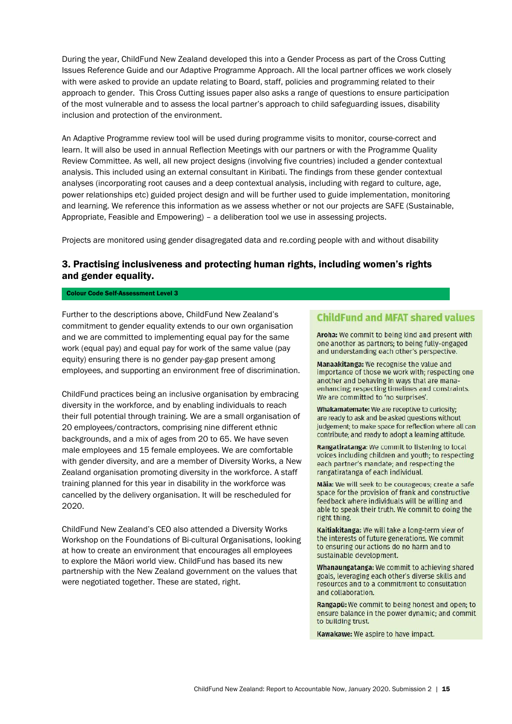During the year, ChildFund New Zealand developed this into a Gender Process as part of the Cross Cutting Issues Reference Guide and our Adaptive Programme Approach. All the local partner offices we work closely with were asked to provide an update relating to Board, staff, policies and programming related to their approach to gender. This Cross Cutting issues paper also asks a range of questions to ensure participation of the most vulnerable and to assess the local partner's approach to child safeguarding issues, disability inclusion and protection of the environment.

An Adaptive Programme review tool will be used during programme visits to monitor, course-correct and learn. It will also be used in annual Reflection Meetings with our partners or with the Programme Quality Review Committee. As well, all new project designs (involving five countries) included a gender contextual analysis. This included using an external consultant in Kiribati. The findings from these gender contextual analyses (incorporating root causes and a deep contextual analysis, including with regard to culture, age, power relationships etc) guided project design and will be further used to guide implementation, monitoring and learning. We reference this information as we assess whether or not our projects are SAFE (Sustainable, Appropriate, Feasible and Empowering) – a deliberation tool we use in assessing projects.

Projects are monitored using gender disagregated data and re.cording people with and without disability

### 3. Practising inclusiveness and protecting human rights, including women's rights and gender equality.

#### Colour Code Self-Assessment Level 3

Further to the descriptions above, ChildFund New Zealand's commitment to gender equality extends to our own organisation and we are committed to implementing equal pay for the same work (equal pay) and equal pay for work of the same value (pay equity) ensuring there is no gender pay-gap present among employees, and supporting an environment free of discrimination.

ChildFund practices being an inclusive organisation by embracing diversity in the workforce, and by enabling individuals to reach their full potential through training. We are a small organisation of 20 employees/contractors, comprising nine different ethnic backgrounds, and a mix of ages from 20 to 65. We have seven male employees and 15 female employees. We are comfortable with gender diversity, and are a member of Diversity Works, a New Zealand organisation promoting diversity in the workforce. A staff training planned for this year in disability in the workforce was cancelled by the delivery organisation. It will be rescheduled for 2020.

ChildFund New Zealand's CEO also attended a Diversity Works Workshop on the Foundations of Bi-cultural Organisations, looking at how to create an environment that encourages all employees to explore the Māori world view. ChildFund has based its new partnership with the New Zealand government on the values that were negotiated together. These are stated, right.

### **ChildFund and MFAT shared values**

Aroha: We commit to being kind and present with one another as partners; to being fully-engaged and understanding each other's perspective.

Manaakitanga: We recognise the value and importance of those we work with; respecting one another and behaving in ways that are manaenhancing; respecting timelines and constraints. We are committed to 'no surprises'.

Whakamatemate: We are receptive to curiosity; are ready to ask and be asked questions without judgement; to make space for reflection where all can contribute; and ready to adopt a learning attitude.

Rangatiratanga: We commit to listening to local voices including children and youth; to respecting each partner's mandate; and respecting the rangatiratanga of each individual.

Māia: We will seek to be courageous; create a safe space for the provision of frank and constructive feedback where individuals will be willing and able to speak their truth. We commit to doing the right thing.

Kaitiakitanga: We will take a long-term view of the interests of future generations. We commit to ensuring our actions do no harm and to sustainable development.

Whanaungatanga: We commit to achieving shared goals, leveraging each other's diverse skills and resources and to a commitment to consultation and collaboration.

Rangapū: We commit to being honest and open; to ensure balance in the power dynamic; and commit to building trust.

Kawakawe: We aspire to have impact.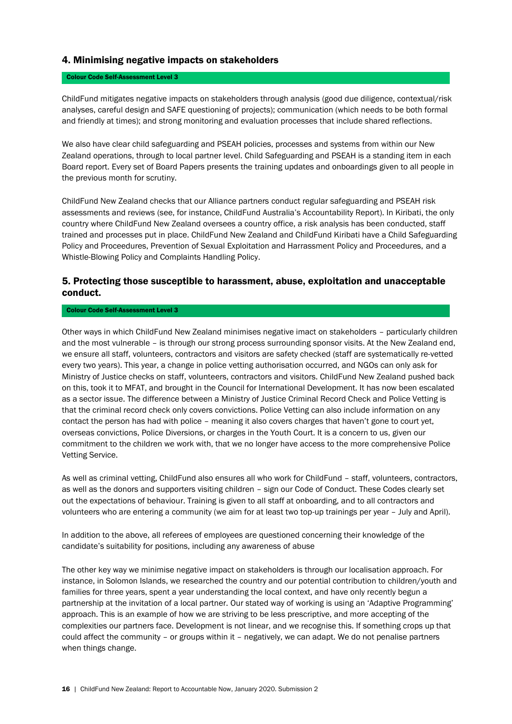#### 4. Minimising negative impacts on stakeholders

#### Colour Code Self-Assessment Level 3

ChildFund mitigates negative impacts on stakeholders through analysis (good due diligence, contextual/risk analyses, careful design and SAFE questioning of projects); communication (which needs to be both formal and friendly at times); and strong monitoring and evaluation processes that include shared reflections.

We also have clear child safeguarding and PSEAH policies, processes and systems from within our New Zealand operations, through to local partner level. Child Safeguarding and PSEAH is a standing item in each Board report. Every set of Board Papers presents the training updates and onboardings given to all people in the previous month for scrutiny.

ChildFund New Zealand checks that our Alliance partners conduct regular safeguarding and PSEAH risk assessments and reviews (see, for instance, ChildFund Australia's Accountability Report). In Kiribati, the only country where ChildFund New Zealand oversees a country office, a risk analysis has been conducted, staff trained and processes put in place. ChildFund New Zealand and ChildFund Kiribati have a Child Safeguarding Policy and Proceedures, Prevention of Sexual Exploitation and Harrassment Policy and Proceedures, and a Whistle-Blowing Policy and Complaints Handling Policy.

### 5. Protecting those susceptible to harassment, abuse, exploitation and unacceptable conduct.

#### Colour Code Self-Assessment Level 3

Other ways in which ChildFund New Zealand minimises negative imact on stakeholders – particularly children and the most vulnerable – is through our strong process surrounding sponsor visits. At the New Zealand end, we ensure all staff, volunteers, contractors and visitors are safety checked (staff are systematically re-vetted every two years). This year, a change in police vetting authorisation occurred, and NGOs can only ask for Ministry of Justice checks on staff, volunteers, contractors and visitors. ChildFund New Zealand pushed back on this, took it to MFAT, and brought in the Council for International Development. It has now been escalated as a sector issue. The difference between a Ministry of Justice Criminal Record Check and Police Vetting is that the criminal record check only covers convictions. Police Vetting can also include information on any contact the person has had with police – meaning it also covers charges that haven't gone to court yet, overseas convictions, Police Diversions, or charges in the Youth Court. It is a concern to us, given our commitment to the children we work with, that we no longer have access to the more comprehensive Police Vetting Service.

As well as criminal vetting, ChildFund also ensures all who work for ChildFund – staff, volunteers, contractors, as well as the donors and supporters visiting children – sign our Code of Conduct. These Codes clearly set out the expectations of behaviour. Training is given to all staff at onboarding, and to all contractors and volunteers who are entering a community (we aim for at least two top-up trainings per year – July and April).

In addition to the above, all referees of employees are questioned concerning their knowledge of the candidate's suitability for positions, including any awareness of abuse

The other key way we minimise negative impact on stakeholders is through our localisation approach. For instance, in Solomon Islands, we researched the country and our potential contribution to children/youth and families for three years, spent a year understanding the local context, and have only recently begun a partnership at the invitation of a local partner. Our stated way of working is using an 'Adaptive Programming' approach. This is an example of how we are striving to be less prescriptive, and more accepting of the complexities our partners face. Development is not linear, and we recognise this. If something crops up that could affect the community – or groups within it – negatively, we can adapt. We do not penalise partners when things change.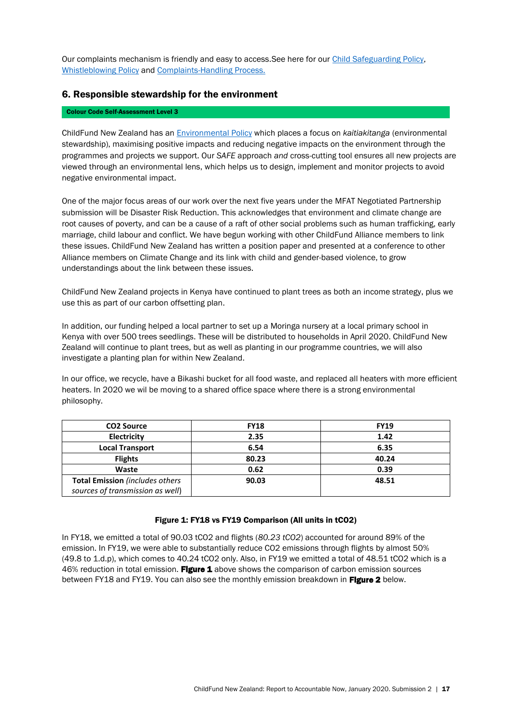Our complaints mechanism is friendly and easy to access. See here for our [Child Safeguarding Policy,](https://media.childfund.org.nz/media/Child-Safeguarding-Policy.pdf) [Whistleblowing Policy](https://media.childfund.org.nz/media/Whistle-blower-Policy.pdf) and [Complaints-Handling Process.](https://media.childfund.org.nz/files/Company-Operation-Policies-March-2020.pdf#page=30)

#### 6. Responsible stewardship for the environment

#### Colour Code Self-Assessment Level 3

ChildFund New Zealand has an [Environmental Policy](https://media.childfund.org.nz/files/Company-Operation-Policies-March-2020.pdf#page=21) which places a focus on *kaitiakitanga* (environmental stewardship), maximising positive impacts and reducing negative impacts on the environment through the programmes and projects we support. Our *SAFE* approach *and* cross-cutting tool ensures all new projects are viewed through an environmental lens, which helps us to design, implement and monitor projects to avoid negative environmental impact.

One of the major focus areas of our work over the next five years under the MFAT Negotiated Partnership submission will be Disaster Risk Reduction. This acknowledges that environment and climate change are root causes of poverty, and can be a cause of a raft of other social problems such as human trafficking, early marriage, child labour and conflict. We have begun working with other ChildFund Alliance members to link these issues. ChildFund New Zealand has written a position paper and presented at a conference to other Alliance members on Climate Change and its link with child and gender-based violence, to grow understandings about the link between these issues.

ChildFund New Zealand projects in Kenya have continued to plant trees as both an income strategy, plus we use this as part of our carbon offsetting plan.

In addition, our funding helped a local partner to set up a Moringa nursery at a local primary school in Kenya with over 500 trees seedlings. These will be distributed to households in April 2020. ChildFund New Zealand will continue to plant trees, but as well as planting in our programme countries, we will also investigate a planting plan for within New Zealand.

<span id="page-16-0"></span>In our office, we recycle, have a Bikashi bucket for all food waste, and replaced all heaters with more efficient heaters. In 2020 we wil be moving to a shared office space where there is a strong environmental philosophy.

| <b>CO2 Source</b>                      | <b>FY18</b> | <b>FY19</b> |
|----------------------------------------|-------------|-------------|
| Electricity                            | 2.35        | 1.42        |
| <b>Local Transport</b>                 | 6.54        | 6.35        |
| <b>Flights</b>                         | 80.23       | 40.24       |
| Waste                                  | 0.62        | 0.39        |
| <b>Total Emission</b> (includes others | 90.03       | 48.51       |
| sources of transmission as well)       |             |             |

#### Figure 1: FY18 vs FY19 Comparison (All units in tCO2)

In FY18, we emitted a total of 90.03 tCO2 and flights (*80.23 tCO2*) accounted for around 89% of the emission. In FY19, we were able to substantially reduce CO2 emissions through flights by almost 50% (49.8 to 1.d.p), which comes to 40.24 tCO2 only. Also, in FY19 we emitted a total of 48.51 tCO2 which is a 46% reduction in total emission. Figure 1 above shows the comparison of carbon emission sources between FY18 and FY19. You can also see the monthly emission breakdown in Figure 2 below.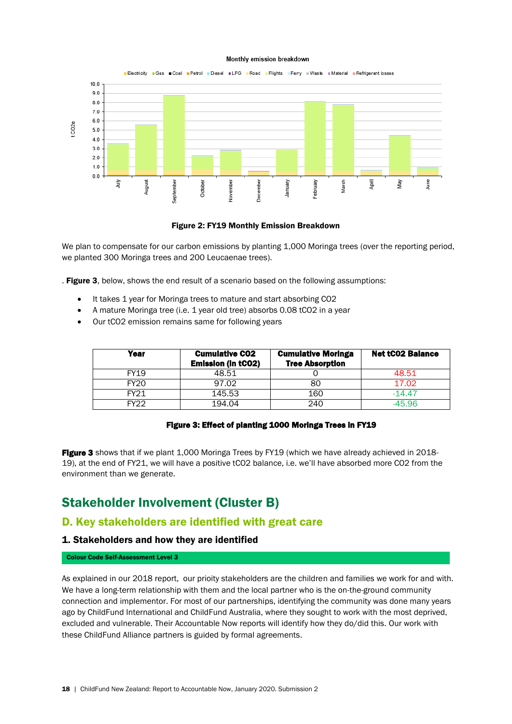#### Monthly emission breakdown



#### Figure 2: FY19 Monthly Emission Breakdown

We plan to compensate for our carbon emissions by planting 1,000 Moringa trees (over the reporting period, we planted 300 Moringa trees and 200 Leucaenae trees).

. Figure 3, below, shows the end result of a scenario based on the following assumptions:

- It takes 1 year for Moringa trees to mature and start absorbing CO2
- A mature Moringa tree (i.e. 1 year old tree) absorbs 0.08 tCO2 in a year
- Our tCO2 emission remains same for following years

| Year        | <b>Cumulative CO2</b><br><b>Emission (in tCO2)</b> | <b>Cumulative Moringa</b><br><b>Tree Absorption</b> | <b>Net tC02 Balance</b> |
|-------------|----------------------------------------------------|-----------------------------------------------------|-------------------------|
| <b>FY19</b> | 48.51                                              |                                                     | 48.51                   |
| <b>FY20</b> | 97.02                                              | 80                                                  | 17.02                   |
| <b>FY21</b> | 145.53                                             | 160                                                 | $-14.47$                |
| FY22        | 194.04                                             | 240                                                 | $-45.96$                |

#### Figure 3: Effect of planting 1000 Moringa Trees in FY19

Figure 3 shows that if we plant 1,000 Moringa Trees by FY19 (which we have already achieved in 2018-19), at the end of FY21, we will have a positive tCO2 balance, i.e. we'll have absorbed more CO2 from the environment than we generate.

## Stakeholder Involvement (Cluster B)

### <span id="page-17-0"></span>D. Key stakeholders are identified with great care

#### 1. Stakeholders and how they are identified

#### Colour Code Self-Assessment Level 3

As explained in our 2018 report, our prioity stakeholders are the children and families we work for and with. We have a long-term relationship with them and the local partner who is the on-the-ground community connection and implementor. For most of our partnerships, identifying the community was done many years ago by ChildFund International and ChildFund Australia, where they sought to work with the most deprived, excluded and vulnerable. Their Accountable Now reports will identify how they do/did this. Our work with these ChildFund Alliance partners is guided by formal agreements.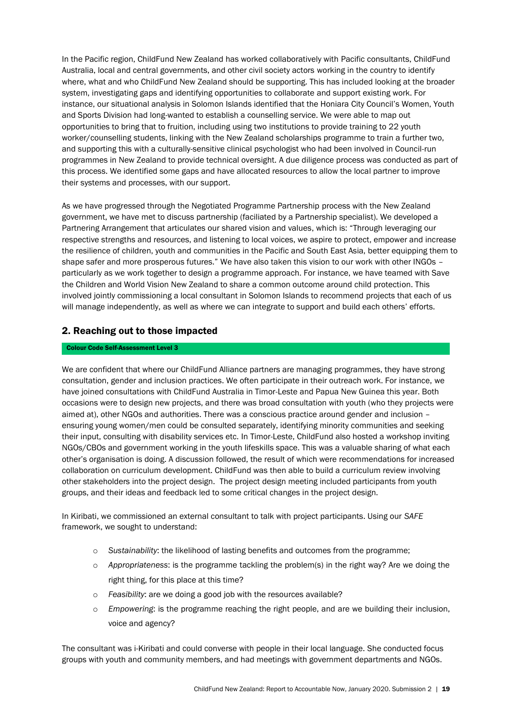In the Pacific region, ChildFund New Zealand has worked collaboratively with Pacific consultants, ChildFund Australia, local and central governments, and other civil society actors working in the country to identify where, what and who ChildFund New Zealand should be supporting. This has included looking at the broader system, investigating gaps and identifying opportunities to collaborate and support existing work. For instance, our situational analysis in Solomon Islands identified that the Honiara City Council's Women, Youth and Sports Division had long-wanted to establish a counselling service. We were able to map out opportunities to bring that to fruition, including using two institutions to provide training to 22 youth worker/counselling students, linking with the New Zealand scholarships programme to train a further two, and supporting this with a culturally-sensitive clinical psychologist who had been involved in Council-run programmes in New Zealand to provide technical oversight. A due diligence process was conducted as part of this process. We identified some gaps and have allocated resources to allow the local partner to improve their systems and processes, with our support.

As we have progressed through the Negotiated Programme Partnership process with the New Zealand government, we have met to discuss partnership (faciliated by a Partnership specialist). We developed a Partnering Arrangement that articulates our shared vision and values, which is: "Through leveraging our respective strengths and resources, and listening to local voices, we aspire to protect, empower and increase the resilience of children, youth and communities in the Pacific and South East Asia, better equipping them to shape safer and more prosperous futures." We have also taken this vision to our work with other INGOs – particularly as we work together to design a programme approach. For instance, we have teamed with Save the Children and World Vision New Zealand to share a common outcome around child protection. This involved jointly commissioning a local consultant in Solomon Islands to recommend projects that each of us will manage independently, as well as where we can integrate to support and build each others' efforts.

### 2. Reaching out to those impacted

#### Colour Code Self-Assessment Level 3

We are confident that where our ChildFund Alliance partners are managing programmes, they have strong consultation, gender and inclusion practices. We often participate in their outreach work. For instance, we have joined consultations with ChildFund Australia in Timor-Leste and Papua New Guinea this year. Both occasions were to design new projects, and there was broad consultation with youth (who they projects were aimed at), other NGOs and authorities. There was a conscious practice around gender and inclusion – ensuring young women/men could be consulted separately, identifying minority communities and seeking their input, consulting with disability services etc. In Timor-Leste, ChildFund also hosted a workshop inviting NGOs/CBOs and government working in the youth lifeskills space. This was a valuable sharing of what each other's organisation is doing. A discussion followed, the result of which were recommendations for increased collaboration on curriculum development. ChildFund was then able to build a curriculum review involving other stakeholders into the project design. The project design meeting included participants from youth groups, and their ideas and feedback led to some critical changes in the project design.

In Kiribati, we commissioned an external consultant to talk with project participants. Using our *SAFE* framework, we sought to understand:

- o *Sustainability*: the likelihood of lasting benefits and outcomes from the programme;
- o *Appropriateness*: is the programme tackling the problem(s) in the right way? Are we doing the right thing, for this place at this time?
- o *Feasibility*: are we doing a good job with the resources available?
- o *Empowering*: is the programme reaching the right people, and are we building their inclusion, voice and agency?

The consultant was i-Kiribati and could converse with people in their local language. She conducted focus groups with youth and community members, and had meetings with government departments and NGOs.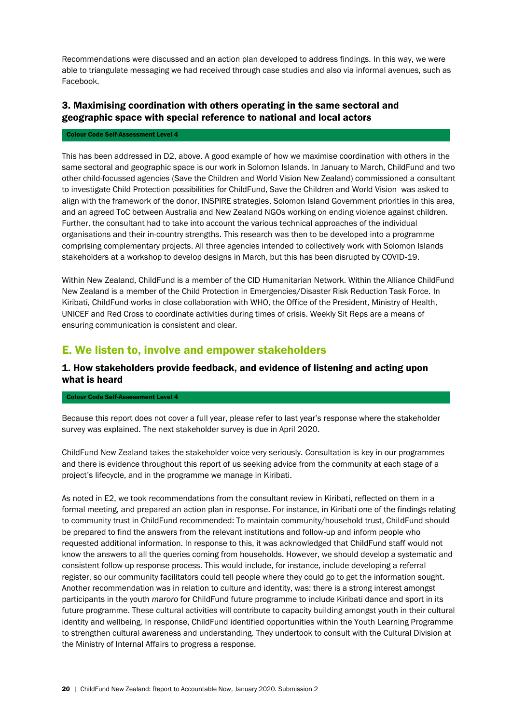Recommendations were discussed and an action plan developed to address findings. In this way, we were able to triangulate messaging we had received through case studies and also via informal avenues, such as Facebook.

### 3. Maximising coordination with others operating in the same sectoral and geographic space with special reference to national and local actors

#### Colour Code Self-Assessment Level 4

This has been addressed in D2, above. A good example of how we maximise coordination with others in the same sectoral and geographic space is our work in Solomon Islands. In January to March, ChildFund and two other child-focussed agencies (Save the Children and World Vision New Zealand) commissioned a consultant to investigate Child Protection possibilities for ChildFund, Save the Children and World Vision was asked to align with the framework of the donor, INSPIRE strategies, Solomon Island Government priorities in this area, and an agreed ToC between Australia and New Zealand NGOs working on ending violence against children. Further, the consultant had to take into account the various technical approaches of the individual organisations and their in-country strengths. This research was then to be developed into a programme comprising complementary projects. All three agencies intended to collectively work with Solomon Islands stakeholders at a workshop to develop designs in March, but this has been disrupted by COVID-19.

Within New Zealand, ChildFund is a member of the CID Humanitarian Network. Within the Alliance ChildFund New Zealand is a member of the Child Protection in Emergencies/Disaster Risk Reduction Task Force. In Kiribati, ChildFund works in close collaboration with WHO, the Office of the President, Ministry of Health, UNICEF and Red Cross to coordinate activities during times of crisis. Weekly Sit Reps are a means of ensuring communication is consistent and clear.

### <span id="page-19-0"></span>E. We listen to, involve and empower stakeholders

### 1. How stakeholders provide feedback, and evidence of listening and acting upon what is heard

#### Colour Code Self-Assessment Level 4

Because this report does not cover a full year, please refer to last year's response where the stakeholder survey was explained. The next stakeholder survey is due in April 2020.

ChildFund New Zealand takes the stakeholder voice very seriously. Consultation is key in our programmes and there is evidence throughout this report of us seeking advice from the community at each stage of a project's lifecycle, and in the programme we manage in Kiribati.

As noted in E2, we took recommendations from the consultant review in Kiribati, reflected on them in a formal meeting, and prepared an action plan in response. For instance, in Kiribati one of the findings relating to community trust in ChildFund recommended: To maintain community/household trust, ChildFund should be prepared to find the answers from the relevant institutions and follow-up and inform people who requested additional information. In response to this, it was acknowledged that ChildFund staff would not know the answers to all the queries coming from households. However, we should develop a systematic and consistent follow-up response process. This would include, for instance, include developing a referral register, so our community facilitators could tell people where they could go to get the information sought. Another recommendation was in relation to culture and identity, was: there is a strong interest amongst participants in the youth *maroro* for ChildFund future programme to include Kiribati dance and sport in its future programme. These cultural activities will contribute to capacity building amongst youth in their cultural identity and wellbeing. In response, ChildFund identified opportunities within the Youth Learning Programme to strengthen cultural awareness and understanding. They undertook to consult with the Cultural Division at the Ministry of Internal Affairs to progress a response.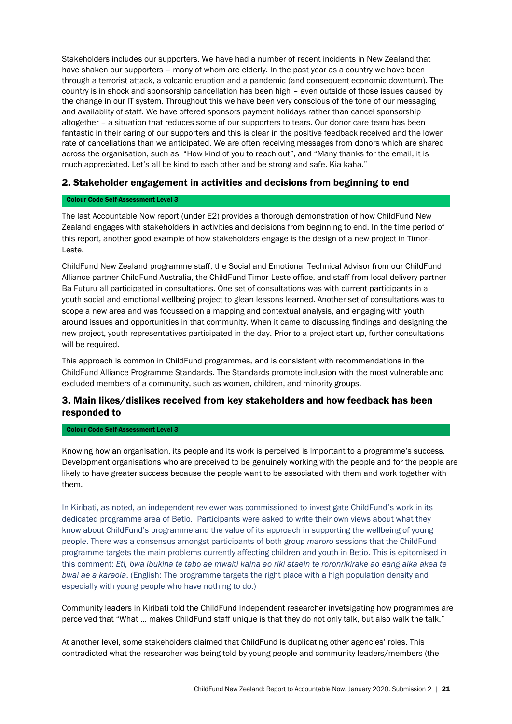Stakeholders includes our supporters. We have had a number of recent incidents in New Zealand that have shaken our supporters – many of whom are elderly. In the past year as a country we have been through a terrorist attack, a volcanic eruption and a pandemic (and consequent economic downturn). The country is in shock and sponsorship cancellation has been high – even outside of those issues caused by the change in our IT system. Throughout this we have been very conscious of the tone of our messaging and availablity of staff. We have offered sponsors payment holidays rather than cancel sponsorship altogether – a situation that reduces some of our supporters to tears. Our donor care team has been fantastic in their caring of our supporters and this is clear in the positive feedback received and the lower rate of cancellations than we anticipated. We are often receiving messages from donors which are shared across the organisation, such as: "How kind of you to reach out", and "Many thanks for the email, it is much appreciated. Let's all be kind to each other and be strong and safe. Kia kaha."

#### 2. Stakeholder engagement in activities and decisions from beginning to end

#### Colour Code Self-Assessment Level 3

The last Accountable Now report (under E2) provides a thorough demonstration of how ChildFund New Zealand engages with stakeholders in activities and decisions from beginning to end. In the time period of this report, another good example of how stakeholders engage is the design of a new project in Timor-Leste.

ChildFund New Zealand programme staff, the Social and Emotional Technical Advisor from our ChildFund Alliance partner ChildFund Australia, the ChildFund Timor-Leste office, and staff from local delivery partner Ba Futuru all participated in consultations. One set of consultations was with current participants in a youth social and emotional wellbeing project to glean lessons learned. Another set of consultations was to scope a new area and was focussed on a mapping and contextual analysis, and engaging with youth around issues and opportunities in that community. When it came to discussing findings and designing the new project, youth representatives participated in the day. Prior to a project start-up, further consultations will be required.

This approach is common in ChildFund programmes, and is consistent with recommendations in the ChildFund Alliance Programme Standards. The Standards promote inclusion with the most vulnerable and excluded members of a community, such as women, children, and minority groups.

### 3. Main likes/dislikes received from key stakeholders and how feedback has been responded to

#### Colour Code Self-Assessment Level 3

Knowing how an organisation, its people and its work is perceived is important to a programme's success. Development organisations who are preceived to be genuinely working with the people and for the people are likely to have greater success because the people want to be associated with them and work together with them.

In Kiribati, as noted, an independent reviewer was commissioned to investigate ChildFund's work in its dedicated programme area of Betio. Participants were asked to write their own views about what they know about ChildFund's programme and the value of its approach in supporting the wellbeing of young people. There was a consensus amongst participants of both group *maroro* sessions that the ChildFund programme targets the main problems currently affecting children and youth in Betio. This is epitomised in this comment: *Eti, bwa ibukina te tabo ae mwaiti kaina ao riki ataein te roronrikirake ao eang aika akea te bwai ae a karaoia*. (English: The programme targets the right place with a high population density and especially with young people who have nothing to do.)

Community leaders in Kiribati told the ChildFund independent researcher invetsigating how programmes are perceived that "What ... makes ChildFund staff unique is that they do not only talk, but also walk the talk."

At another level, some stakeholders claimed that ChildFund is duplicating other agencies' roles. This contradicted what the researcher was being told by young people and community leaders/members (the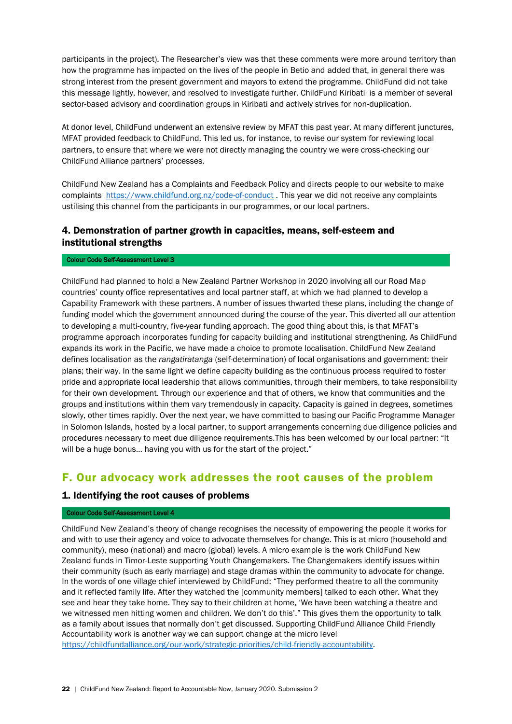participants in the project). The Researcher's view was that these comments were more around territory than how the programme has impacted on the lives of the people in Betio and added that, in general there was strong interest from the present government and mayors to extend the programme. ChildFund did not take this message lightly, however, and resolved to investigate further. ChildFund Kiribati is a member of several sector-based advisory and coordination groups in Kiribati and actively strives for non-duplication.

At donor level, ChildFund underwent an extensive review by MFAT this past year. At many different junctures, MFAT provided feedback to ChildFund. This led us, for instance, to revise our system for reviewing local partners, to ensure that where we were not directly managing the country we were cross-checking our ChildFund Alliance partners' processes.

ChildFund New Zealand has a Complaints and Feedback Policy and directs people to our website to make complaints <https://www.childfund.org.nz/code-of-conduct> . This year we did not receive any complaints ustilising this channel from the participants in our programmes, or our local partners.

### 4. Demonstration of partner growth in capacities, means, self-esteem and institutional strengths

#### Colour Code Self-Assessment Level 3

ChildFund had planned to hold a New Zealand Partner Workshop in 2020 involving all our Road Map countries' county office representatives and local partner staff, at which we had planned to develop a Capability Framework with these partners. A number of issues thwarted these plans, including the change of funding model which the government announced during the course of the year. This diverted all our attention to developing a multi-country, five-year funding approach. The good thing about this, is that MFAT's programme approach incorporates funding for capacity building and institutional strengthening. As ChildFund expands its work in the Pacific, we have made a choice to promote localisation. ChildFund New Zealand defines localisation as the *rangatiratanga* (self-determination) of local organisations and government: their plans; their way. In the same light we define capacity building as the continuous process required to foster pride and appropriate local leadership that allows communities, through their members, to take responsibility for their own development. Through our experience and that of others, we know that communities and the groups and institutions within them vary tremendously in capacity. Capacity is gained in degrees, sometimes slowly, other times rapidly. Over the next year, we have committed to basing our Pacific Programme Manager in Solomon Islands, hosted by a local partner, to support arrangements concerning due diligence policies and procedures necessary to meet due diligence requirements.This has been welcomed by our local partner: "It will be a huge bonus... having you with us for the start of the project."

### <span id="page-21-0"></span>F. Our advocacy work addresses the root causes of the problem

#### 1. Identifying the root causes of problems

#### Colour Code Self-Assessment Level 4

ChildFund New Zealand's theory of change recognises the necessity of empowering the people it works for and with to use their agency and voice to advocate themselves for change. This is at micro (household and community), meso (national) and macro (global) levels. A micro example is the work ChildFund New Zealand funds in Timor-Leste supporting Youth Changemakers. The Changemakers identify issues within their community (such as early marriage) and stage dramas within the community to advocate for change. In the words of one village chief interviewed by ChildFund: "They performed theatre to all the community and it reflected family life. After they watched the [community members] talked to each other. What they see and hear they take home. They say to their children at home, 'We have been watching a theatre and we witnessed men hitting women and children. We don't do this'." This gives them the opportunity to talk as a family about issues that normally don't get discussed. Supporting ChildFund Alliance Child Friendly Accountability work is another way we can support change at the micro level

[https://childfundalliance.org/our-work/strategic-priorities/child-friendly-accountability.](https://childfundalliance.org/our-work/strategic-priorities/child-friendly-accountability)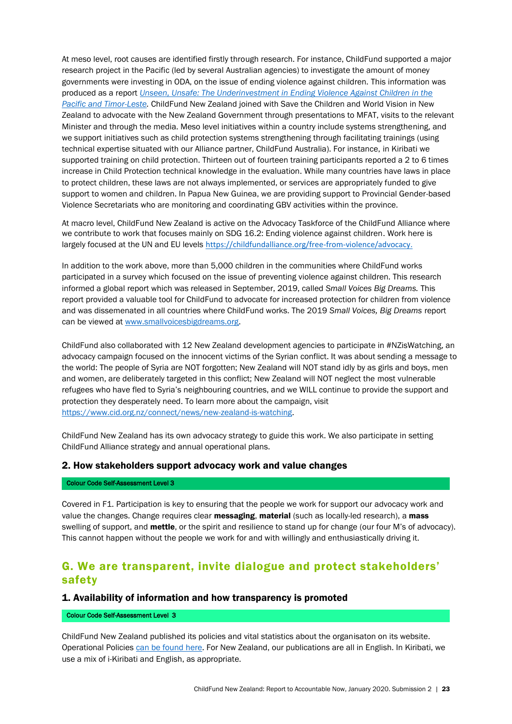At meso level, root causes are identified firstly through research. For instance, ChildFund supported a major research project in the Pacific (led by several Australian agencies) to investigate the amount of money governments were investing in ODA, on the issue of ending violence against children. This information was produced as a report *[Unseen, Unsafe: The Underinvestment in Ending Violence Against Children in the](https://media.childfund.org.nz/files/STC01615_Unseen-Unsafe-Report.pdf)  [Pacific and Timor-Leste.](https://media.childfund.org.nz/files/STC01615_Unseen-Unsafe-Report.pdf)* ChildFund New Zealand joined with Save the Children and World Vision in New Zealand to advocate with the New Zealand Government through presentations to MFAT, visits to the relevant Minister and through the media. Meso level initiatives within a country include systems strengthening, and we support initiatives such as child protection systems strengthening through facilitating trainings (using technical expertise situated with our Alliance partner, ChildFund Australia). For instance, in Kiribati we supported training on child protection. Thirteen out of fourteen training participants reported a 2 to 6 times increase in Child Protection technical knowledge in the evaluation. While many countries have laws in place to protect children, these laws are not always implemented, or services are appropriately funded to give support to women and children. In Papua New Guinea, we are providing support to Provincial Gender-based Violence Secretariats who are monitoring and coordinating GBV activities within the province.

At macro level, ChildFund New Zealand is active on the Advocacy Taskforce of the ChildFund Alliance where we contribute to work that focuses mainly on SDG 16.2: Ending violence against children. Work here is largely focused at the UN and EU levels [https://childfundalliance.org/free-from-violence/advocacy.](https://childfundalliance.org/free-from-violence/advocacy)

In addition to the work above, more than 5,000 children in the communities where ChildFund works participated in a survey which focused on the issue of preventing violence against children. This research informed a global report which was released in September, 2019, called *Small Voices Big Dreams.* This report provided a valuable tool for ChildFund to advocate for increased protection for children from violence and was dissemenated in all countries where ChildFund works. The 2019 *Small Voices, Big Dreams* report can be viewed at [www.smallvoicesbigdreams.org.](http://www.smallvoicesbigdreams.org/)

ChildFund also collaborated with 12 New Zealand development agencies to participate in #NZisWatching, an advocacy campaign focused on the innocent victims of the Syrian conflict. It was about sending a message to the world: The people of Syria are NOT forgotten; New Zealand will NOT stand idly by as girls and boys, men and women, are deliberately targeted in this conflict; New Zealand will NOT neglect the most vulnerable refugees who have fled to Syria's neighbouring countries, and we WILL continue to provide the support and protection they desperately need. To learn more about the campaign, visit [https://www.cid.org.nz/connect/news/new-zealand-is-watching.](https://www.cid.org.nz/connect/news/new-zealand-is-watching)

ChildFund New Zealand has its own advocacy strategy to guide this work. We also participate in setting ChildFund Alliance strategy and annual operational plans.

#### 2. How stakeholders support advocacy work and value changes

#### Colour Code Self-Assessment Level 3

Covered in F1. Participation is key to ensuring that the people we work for support our advocacy work and value the changes. Change requires clear messaging, material (such as locally-led research), a mass swelling of support, and **mettle**, or the spirit and resilience to stand up for change (our four M's of advocacy). This cannot happen without the people we work for and with willingly and enthusiastically driving it.

### <span id="page-22-0"></span>G. We are transparent, invite dialogue and protect stakeholders' safety

#### 1. Availability of information and how transparency is promoted

#### Colour Code Self-Assessment Level 3

ChildFund New Zealand published its policies and vital statistics about the organisaton on its website. Operational Policies [can be found](https://media.childfund.org.nz/files/Company-Operation-Policies-March-2020.pdf) here. For New Zealand, our publications are all in English. In Kiribati, we use a mix of i-Kiribati and English, as appropriate.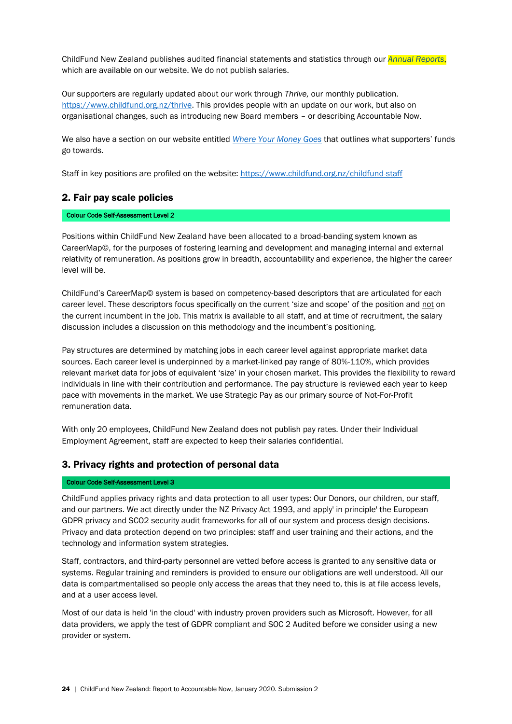ChildFund New Zealand publishes audited financial statements and statistics through our *[Annual Reports](https://www.childfund.org.nz/annual-report)*, which are available on our website. We do not publish salaries.

Our supporters are regularly updated about our work through *Thrive,* our monthly publication. [https://www.childfund.org.nz/thrive.](https://www.childfund.org.nz/thrive) This provides people with an update on our work, but also on organisational changes, such as introducing new Board members – or describing Accountable Now.

We also have a section on our website entitled *[Where Your Money Goes](https://www.childfund.org.nz/where-your-money-goes#step8806)* that outlines what supporters' funds go towards.

Staff in key positions are profiled on the website: <https://www.childfund.org.nz/childfund-staff>

#### 2. Fair pay scale policies

#### Colour Code Self-Assessment Level 2

Positions within ChildFund New Zealand have been allocated to a broad-banding system known as CareerMap©, for the purposes of fostering learning and development and managing internal and external relativity of remuneration. As positions grow in breadth, accountability and experience, the higher the career level will be.

ChildFund's CareerMap© system is based on competency-based descriptors that are articulated for each career level. These descriptors focus specifically on the current 'size and scope' of the position and not on the current incumbent in the job. This matrix is available to all staff, and at time of recruitment, the salary discussion includes a discussion on this methodology and the incumbent's positioning.

Pay structures are determined by matching jobs in each career level against appropriate market data sources. Each career level is underpinned by a market-linked pay range of 80%-110%, which provides relevant market data for jobs of equivalent 'size' in your chosen market. This provides the flexibility to reward individuals in line with their contribution and performance. The pay structure is reviewed each year to keep pace with movements in the market. We use Strategic Pay as our primary source of Not-For-Profit remuneration data.

With only 20 employees, ChildFund New Zealand does not publish pay rates. Under their Individual Employment Agreement, staff are expected to keep their salaries confidential.

#### 3. Privacy rights and protection of personal data

#### Colour Code Self-Assessment Level 3

ChildFund applies privacy rights and data protection to all user types: Our Donors, our children, our staff, and our partners. We act directly under the NZ Privacy Act 1993, and apply' in principle' the European GDPR privacy and SCO2 security audit frameworks for all of our system and process design decisions. Privacy and data protection depend on two principles: staff and user training and their actions, and the technology and information system strategies.

Staff, contractors, and third-party personnel are vetted before access is granted to any sensitive data or systems. Regular training and reminders is provided to ensure our obligations are well understood. All our data is compartmentalised so people only access the areas that they need to, this is at file access levels, and at a user access level.

Most of our data is held 'in the cloud' with industry proven providers such as Microsoft. However, for all data providers, we apply the test of GDPR compliant and SOC 2 Audited before we consider using a new provider or system.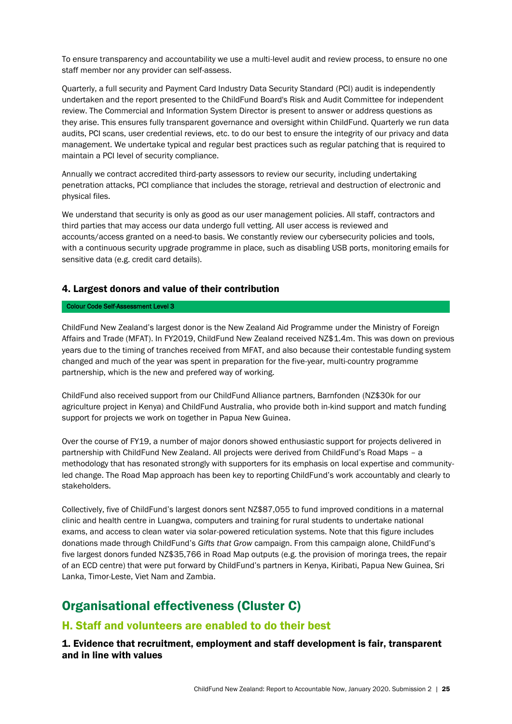To ensure transparency and accountability we use a multi-level audit and review process, to ensure no one staff member nor any provider can self-assess.

Quarterly, a full security and Payment Card Industry Data Security Standard (PCI) audit is independently undertaken and the report presented to the ChildFund Board's Risk and Audit Committee for independent review. The Commercial and Information System Director is present to answer or address questions as they arise. This ensures fully transparent governance and oversight within ChildFund. Quarterly we run data audits, PCI scans, user credential reviews, etc. to do our best to ensure the integrity of our privacy and data management. We undertake typical and regular best practices such as regular patching that is required to maintain a PCI level of security compliance.

Annually we contract accredited third-party assessors to review our security, including undertaking penetration attacks, PCI compliance that includes the storage, retrieval and destruction of electronic and physical files.

We understand that security is only as good as our user management policies. All staff, contractors and third parties that may access our data undergo full vetting. All user access is reviewed and accounts/access granted on a need-to basis. We constantly review our cybersecurity policies and tools, with a continuous security upgrade programme in place, such as disabling USB ports, monitoring emails for sensitive data (e.g. credit card details).

### 4. Largest donors and value of their contribution

#### Colour Code Self-Assessment Level 3

ChildFund New Zealand's largest donor is the New Zealand Aid Programme under the Ministry of Foreign Affairs and Trade (MFAT). In FY2019, ChildFund New Zealand received NZ\$1.4m. This was down on previous years due to the timing of tranches received from MFAT, and also because their contestable funding system changed and much of the year was spent in preparation for the five-year, multi-country programme partnership, which is the new and prefered way of working.

ChildFund also received support from our ChildFund Alliance partners, Barnfonden (NZ\$30k for our agriculture project in Kenya) and ChildFund Australia, who provide both in-kind support and match funding support for projects we work on together in Papua New Guinea.

Over the course of FY19, a number of major donors showed enthusiastic support for projects delivered in partnership with ChildFund New Zealand. All projects were derived from ChildFund's Road Maps – a methodology that has resonated strongly with supporters for its emphasis on local expertise and communityled change. The Road Map approach has been key to reporting ChildFund's work accountably and clearly to stakeholders.

Collectively, five of ChildFund's largest donors sent NZ\$87,055 to fund improved conditions in a maternal clinic and health centre in Luangwa, computers and training for rural students to undertake national exams, and access to clean water via solar-powered reticulation systems. Note that this figure includes donations made through ChildFund's *Gifts that Grow* campaign. From this campaign alone, ChildFund's five largest donors funded NZ\$35,766 in Road Map outputs (e.g. the provision of moringa trees, the repair of an ECD centre) that were put forward by ChildFund's partners in Kenya, Kiribati, Papua New Guinea, Sri Lanka, Timor-Leste, Viet Nam and Zambia.

## <span id="page-24-0"></span>Organisational effectiveness (Cluster C)

### <span id="page-24-1"></span>H. Staff and volunteers are enabled to do their best

1. Evidence that recruitment, employment and staff development is fair, transparent and in line with values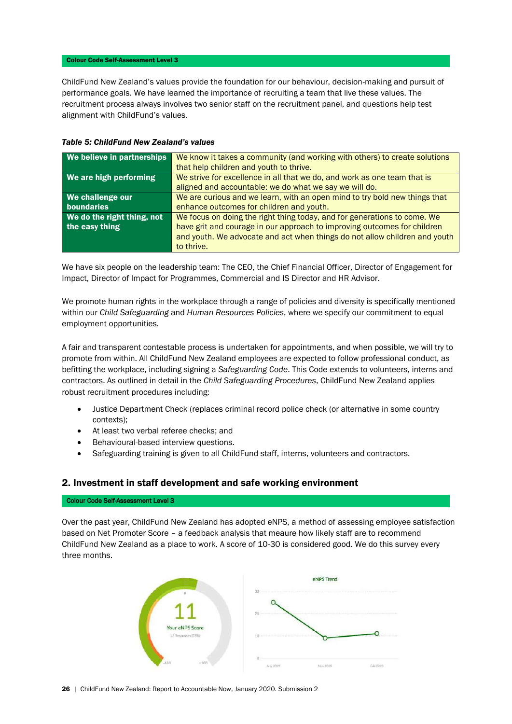#### Colour Code Self-Assessment Level 3

ChildFund New Zealand's values provide the foundation for our behaviour, decision-making and pursuit of performance goals. We have learned the importance of recruiting a team that live these values. The recruitment process always involves two senior staff on the recruitment panel, and questions help test alignment with ChildFund's values.

| We believe in partnerships | We know it takes a community (and working with others) to create solutions |
|----------------------------|----------------------------------------------------------------------------|
|                            | that help children and youth to thrive.                                    |
|                            |                                                                            |
| We are high performing     | We strive for excellence in all that we do, and work as one team that is   |
|                            | aligned and accountable: we do what we say we will do.                     |
| We challenge our           | We are curious and we learn, with an open mind to try bold new things that |
| boundaries                 | enhance outcomes for children and youth.                                   |
| We do the right thing, not | We focus on doing the right thing today, and for generations to come. We   |
| the easy thing             | have grit and courage in our approach to improving outcomes for children   |
|                            | and youth. We advocate and act when things do not allow children and youth |
|                            |                                                                            |
|                            | to thrive.                                                                 |

#### *Table 5: ChildFund New Zealand's values*

We have six people on the leadership team: The CEO, the Chief Financial Officer, Director of Engagement for Impact, Director of Impact for Programmes, Commercial and IS Director and HR Advisor.

We promote human rights in the workplace through a range of policies and diversity is specifically mentioned within our *Child Safeguarding* and *Human Resources Policies*, where we specify our commitment to equal employment opportunities.

A fair and transparent contestable process is undertaken for appointments, and when possible, we will try to promote from within. All ChildFund New Zealand employees are expected to follow professional conduct, as befitting the workplace, including signing a *Safeguarding Code*. This Code extends to volunteers, interns and contractors. As outlined in detail in the *Child Safeguarding Procedures*, ChildFund New Zealand applies robust recruitment procedures including:

- Justice Department Check (replaces criminal record police check (or alternative in some country contexts);
- At least two verbal referee checks; and
- Behavioural-based interview questions.
- Safeguarding training is given to all ChildFund staff, interns, volunteers and contractors.

#### 2. Investment in staff development and safe working environment

#### Colour Code Self-Assessment Level 3

Over the past year, ChildFund New Zealand has adopted eNPS, a method of assessing employee satisfaction based on Net Promoter Score – a feedback analysis that meaure how likely staff are to recommend ChildFund New Zealand as a place to work. A score of 10-30 is considered good. We do this survey every three months.

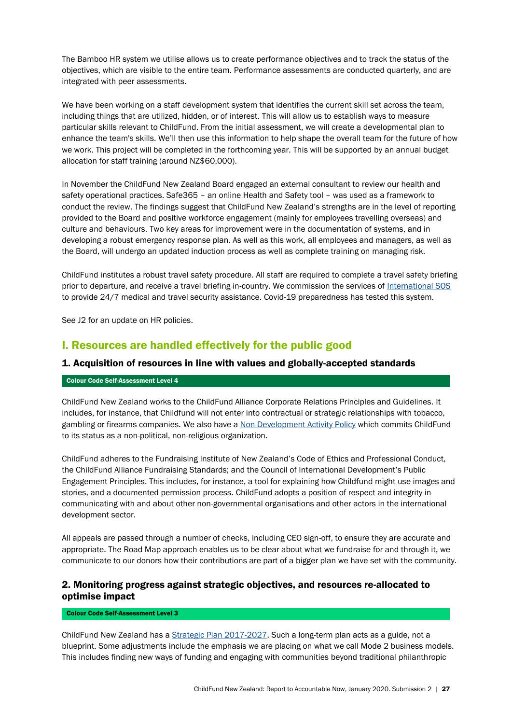The Bamboo HR system we utilise allows us to create performance objectives and to track the status of the objectives, which are visible to the entire team. Performance assessments are conducted quarterly, and are integrated with peer assessments.

We have been working on a staff development system that identifies the current skill set across the team, including things that are utilized, hidden, or of interest. This will allow us to establish ways to measure particular skills relevant to ChildFund. From the initial assessment, we will create a developmental plan to enhance the team's skills. We'll then use this information to help shape the overall team for the future of how we work. This project will be completed in the forthcoming year. This will be supported by an annual budget allocation for staff training (around NZ\$60,000).

In November the ChildFund New Zealand Board engaged an external consultant to review our health and safety operational practices. Safe365 – an online Health and Safety tool – was used as a framework to conduct the review. The findings suggest that ChildFund New Zealand's strengths are in the level of reporting provided to the Board and positive workforce engagement (mainly for employees travelling overseas) and culture and behaviours. Two key areas for improvement were in the documentation of systems, and in developing a robust emergency response plan. As well as this work, all employees and managers, as well as the Board, will undergo an updated induction process as well as complete training on managing risk.

ChildFund institutes a robust travel safety procedure. All staff are required to complete a travel safety briefing prior to departure, and receive a travel briefing in-country. We commission the services of [International SOS](https://www.internationalsos.com/) to provide 24/7 medical and travel security assistance. Covid-19 preparedness has tested this system.

See J2 for an update on HR policies.

### <span id="page-26-0"></span>I. Resources are handled effectively for the public good

#### 1. Acquisition of resources in line with values and globally-accepted standards

#### Colour Code Self-Assessment Level 4

ChildFund New Zealand works to the ChildFund Alliance Corporate Relations Principles and Guidelines. It includes, for instance, that Childfund will not enter into contractual or strategic relationships with tobacco, gambling or firearms companies. We also have a [Non-Development Activity Policy](https://media.childfund.org.nz/files/ChildFund-Company-Operation-Policies-2.pdf#page=24) which commits ChildFund to its status as a non-political, non-religious organization.

ChildFund adheres to the Fundraising Institute of New Zealand's Code of Ethics and Professional Conduct, the ChildFund Alliance Fundraising Standards; and the Council of International Development's Public Engagement Principles. This includes, for instance, a tool for explaining how Childfund might use images and stories, and a documented permission process. ChildFund adopts a position of respect and integrity in communicating with and about other non-governmental organisations and other actors in the international development sector.

All appeals are passed through a number of checks, including CEO sign-off, to ensure they are accurate and appropriate. The Road Map approach enables us to be clear about what we fundraise for and through it, we communicate to our donors how their contributions are part of a bigger plan we have set with the community.

### 2. Monitoring progress against strategic objectives, and resources re-allocated to optimise impact

#### Colour Code Self-Assessment Level 3

ChildFund New Zealand has a [Strategic Plan 2017-2027.](https://media.childfund.org.nz/files/8.-ChildFund-Strategy-to-2027-W3.pdf) Such a long-term plan acts as a guide, not a blueprint. Some adjustments include the emphasis we are placing on what we call Mode 2 business models. This includes finding new ways of funding and engaging with communities beyond traditional philanthropic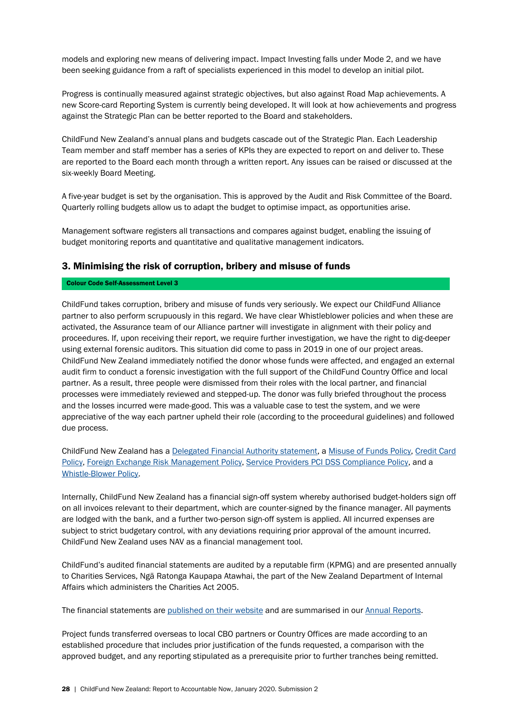models and exploring new means of delivering impact. Impact Investing falls under Mode 2, and we have been seeking guidance from a raft of specialists experienced in this model to develop an initial pilot.

Progress is continually measured against strategic objectives, but also against Road Map achievements. A new Score-card Reporting System is currently being developed. It will look at how achievements and progress against the Strategic Plan can be better reported to the Board and stakeholders.

ChildFund New Zealand's annual plans and budgets cascade out of the Strategic Plan. Each Leadership Team member and staff member has a series of KPIs they are expected to report on and deliver to. These are reported to the Board each month through a written report. Any issues can be raised or discussed at the six-weekly Board Meeting.

A five-year budget is set by the organisation. This is approved by the Audit and Risk Committee of the Board. Quarterly rolling budgets allow us to adapt the budget to optimise impact, as opportunities arise.

Management software registers all transactions and compares against budget, enabling the issuing of budget monitoring reports and quantitative and qualitative management indicators.

#### 3. Minimising the risk of corruption, bribery and misuse of funds

#### Colour Code Self-Assessment Level 3

ChildFund takes corruption, bribery and misuse of funds very seriously. We expect our ChildFund Alliance partner to also perform scrupuously in this regard. We have clear Whistleblower policies and when these are activated, the Assurance team of our Alliance partner will investigate in alignment with their policy and proceedures. If, upon receiving their report, we require further investigation, we have the right to dig-deeper using external forensic auditors. This situation did come to pass in 2019 in one of our project areas. ChildFund New Zealand immediately notified the donor whose funds were affected, and engaged an external audit firm to conduct a forensic investigation with the full support of the ChildFund Country Office and local partner. As a result, three people were dismissed from their roles with the local partner, and financial processes were immediately reviewed and stepped-up. The donor was fully briefed throughout the process and the losses incurred were made-good. This was a valuable case to test the system, and we were appreciative of the way each partner upheld their role (according to the proceedural guidelines) and followed due process.

ChildFund New Zealand has a [Delegated Financial Authority statement,](https://media.childfund.org.nz/files/B1.8_Financials-Delegations-Policy.pdf) a [Misuse of Funds Policy,](https://media.childfund.org.nz/files/Company-Operation-Policies-March-2020.pdf#page=40) [Credit Card](https://media.childfund.org.nz/files/Company-Operation-Policies-March-2020.pdf#page=43)  [Policy,](https://media.childfund.org.nz/files/Company-Operation-Policies-March-2020.pdf#page=43) [Foreign Exchange Risk Management Policy,](https://media.childfund.org.nz/files/Company-Operation-Policies-March-2020.pdf#page=45) [Service Providers PCI DSS Compliance Policy,](https://media.childfund.org.nz/files/Company-Operation-Policies-March-2020.pdf#page=57) and a [Whistle-Blower Policy.](https://media.childfund.org.nz/files/Company-Operation-Policies-March-2020.pdf#page=48)

Internally, ChildFund New Zealand has a financial sign-off system whereby authorised budget-holders sign off on all invoices relevant to their department, which are counter-signed by the finance manager. All payments are lodged with the bank, and a further two-person sign-off system is applied. All incurred expenses are subject to strict budgetary control, with any deviations requiring prior approval of the amount incurred. ChildFund New Zealand uses NAV as a financial management tool.

ChildFund's audited financial statements are audited by a reputable firm (KPMG) and are presented annually to Charities Services, Ngā Ratonga Kaupapa Atawhai, the part of the New Zealand Department of Internal Affairs which administers the Charities Act 2005.

The financial statements are [published on their website](https://www.register.charities.govt.nz/Charity/CC10081) and are summarised in our [Annual Reports.](https://www.childfund.org.nz/annual-report)

Project funds transferred overseas to local CBO partners or Country Offices are made according to an established procedure that includes prior justification of the funds requested, a comparison with the approved budget, and any reporting stipulated as a prerequisite prior to further tranches being remitted.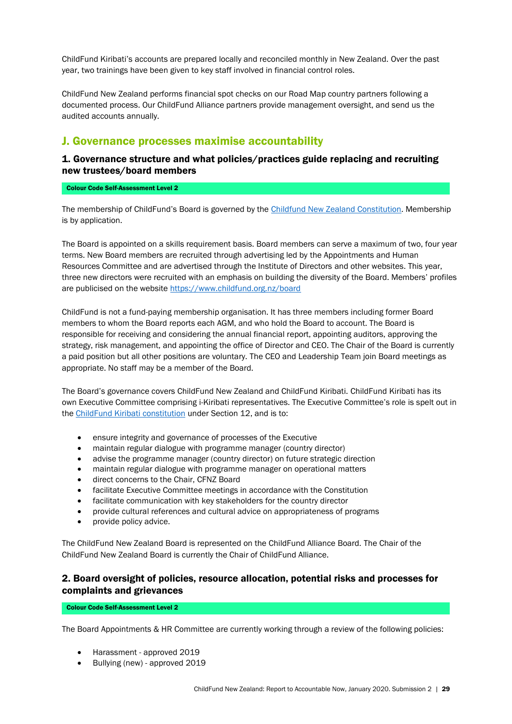ChildFund Kiribati's accounts are prepared locally and reconciled monthly in New Zealand. Over the past year, two trainings have been given to key staff involved in financial control roles.

ChildFund New Zealand performs financial spot checks on our Road Map country partners following a documented process. Our ChildFund Alliance partners provide management oversight, and send us the audited accounts annually.

### <span id="page-28-0"></span>J. Governance processes maximise accountability

### 1. Governance structure and what policies/practices guide replacing and recruiting new trustees/board members

#### Colour Code Self-Assessment Level 2

The membership of ChildFund's Board is governed by the [Childfund New Zealand Constitution.](https://media.childfund.org.nz/files/Constitution-of-ChildFund-New-Zealand-Limited-10-Dec-2018-Final.pdf) Membership is by application.

The Board is appointed on a skills requirement basis. Board members can serve a maximum of two, four year terms. New Board members are recruited through advertising led by the Appointments and Human Resources Committee and are advertised through the Institute of Directors and other websites. This year, three new directors were recruited with an emphasis on building the diversity of the Board. Members' profiles are publicised on the website<https://www.childfund.org.nz/board>

ChildFund is not a fund-paying membership organisation. It has three members including former Board members to whom the Board reports each AGM, and who hold the Board to account. The Board is responsible for receiving and considering the annual financial report, appointing auditors, approving the strategy, risk management, and appointing the office of Director and CEO. The Chair of the Board is currently a paid position but all other positions are voluntary. The CEO and Leadership Team join Board meetings as appropriate. No staff may be a member of the Board.

The Board's governance covers ChildFund New Zealand and ChildFund Kiribati. ChildFund Kiribati has its own Executive Committee comprising i-Kiribati representatives. The Executive Committee's role is spelt out in the [ChildFund Kiribati constitution](https://media.childfund.org.nz/files/Constitution-of-ChildFund-Kiribati-25-Nov-2016.pdf) under Section 12, and is to:

- ensure integrity and governance of processes of the Executive
- maintain regular dialogue with programme manager (country director)
- advise the programme manager (country director) on future strategic direction
- maintain regular dialogue with programme manager on operational matters
- direct concerns to the Chair, CFNZ Board
- facilitate Executive Committee meetings in accordance with the Constitution
- facilitate communication with key stakeholders for the country director
- provide cultural references and cultural advice on appropriateness of programs
- provide policy advice.

The ChildFund New Zealand Board is represented on the ChildFund Alliance Board. The Chair of the ChildFund New Zealand Board is currently the Chair of ChildFund Alliance.

### 2. Board oversight of policies, resource allocation, potential risks and processes for complaints and grievances

Colour Code Self-Assessment Level 2

The Board Appointments & HR Committee are currently working through a review of the following policies:

- Harassment approved 2019
- Bullying (new) approved 2019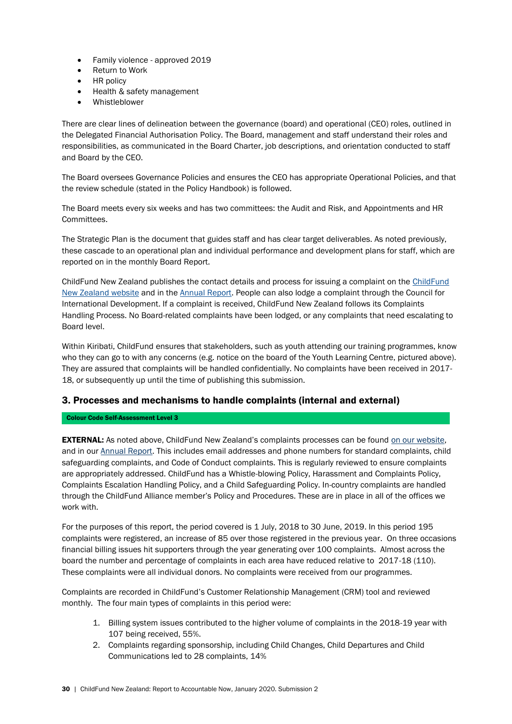- Family violence approved 2019
- Return to Work
- HR policy
- Health & safety management
- Whistleblower

There are clear lines of delineation between the governance (board) and operational (CEO) roles, outlined in the Delegated Financial Authorisation Policy. The Board, management and staff understand their roles and responsibilities, as communicated in the Board Charter, job descriptions, and orientation conducted to staff and Board by the CEO.

The Board oversees Governance Policies and ensures the CEO has appropriate Operational Policies, and that the review schedule (stated in the Policy Handbook) is followed.

The Board meets every six weeks and has two committees: the Audit and Risk, and Appointments and HR Committees.

The Strategic Plan is the document that guides staff and has clear target deliverables. As noted previously, these cascade to an operational plan and individual performance and development plans for staff, which are reported on in the monthly Board Report.

ChildFund New Zealand publishes the contact details and process for issuing a complaint on the [ChildFund](https://www.childfund.org.nz/code-of-conduct)  [New Zealand website](https://www.childfund.org.nz/code-of-conduct) and in the [Annual Report.](http://www.childfund.org.nz/annual-report) People can also lodge a complaint through the Council for International Development. If a complaint is received, ChildFund New Zealand follows its Complaints Handling Process. No Board-related complaints have been lodged, or any complaints that need escalating to Board level.

Within Kiribati, ChildFund ensures that stakeholders, such as youth attending our training programmes, know who they can go to with any concerns (e.g. notice on the board of the Youth Learning Centre, pictured above). They are assured that complaints will be handled confidentially. No complaints have been received in 2017- 18, or subsequently up until the time of publishing this submission.

### 3. Processes and mechanisms to handle complaints (internal and external)

Colour Code Self-Assessment Level 3

<span id="page-29-0"></span>**EXTERNAL:** As noted above, ChildFund New Zealand's complaints processes can be found [on our website,](https://www.childfund/org.nz/code-of-conduct) and in our [Annual Report.](http://www.childfund.org.nz/annual-report) This includes email addresses and phone numbers for standard complaints, child safeguarding complaints, and Code of Conduct complaints. This is regularly reviewed to ensure complaints are appropriately addressed. ChildFund has a Whistle-blowing Policy, Harassment and Complaints Policy, Complaints Escalation Handling Policy, and a Child Safeguarding Policy. In-country complaints are handled through the ChildFund Alliance member's Policy and Procedures. These are in place in all of the offices we work with.

For the purposes of this report, the period covered is 1 July, 2018 to 30 June, 2019. In this period 195 complaints were registered, an increase of 85 over those registered in the previous year. On three occasions financial billing issues hit supporters through the year generating over 100 complaints. Almost across the board the number and percentage of complaints in each area have reduced relative to 2017-18 (110). These complaints were all individual donors. No complaints were received from our programmes.

Complaints are recorded in ChildFund's Customer Relationship Management (CRM) tool and reviewed monthly. The four main types of complaints in this period were:

- 1. Billing system issues contributed to the higher volume of complaints in the 2018-19 year with 107 being received, 55%.
- 2. Complaints regarding sponsorship, including Child Changes, Child Departures and Child Communications led to 28 complaints, 14%